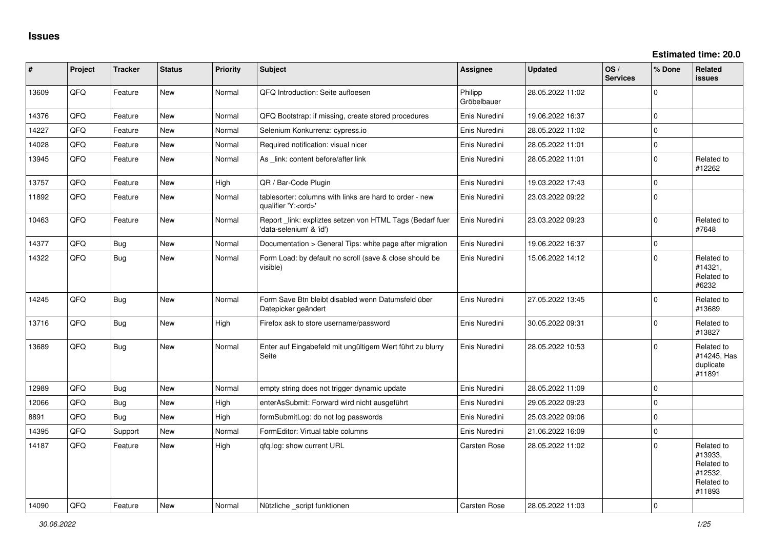| #     | Project | <b>Tracker</b> | <b>Status</b> | <b>Priority</b> | <b>Subject</b>                                                                        | Assignee               | <b>Updated</b>   | OS/<br><b>Services</b> | % Done      | <b>Related</b><br><b>issues</b>                                        |
|-------|---------|----------------|---------------|-----------------|---------------------------------------------------------------------------------------|------------------------|------------------|------------------------|-------------|------------------------------------------------------------------------|
| 13609 | QFQ     | Feature        | New           | Normal          | QFQ Introduction: Seite aufloesen                                                     | Philipp<br>Gröbelbauer | 28.05.2022 11:02 |                        | $\Omega$    |                                                                        |
| 14376 | QFQ     | Feature        | <b>New</b>    | Normal          | QFQ Bootstrap: if missing, create stored procedures                                   | Enis Nuredini          | 19.06.2022 16:37 |                        | $\Omega$    |                                                                        |
| 14227 | QFQ     | Feature        | <b>New</b>    | Normal          | Selenium Konkurrenz: cypress.io                                                       | Enis Nuredini          | 28.05.2022 11:02 |                        | $\mathbf 0$ |                                                                        |
| 14028 | QFQ     | Feature        | <b>New</b>    | Normal          | Required notification: visual nicer                                                   | Enis Nuredini          | 28.05.2022 11:01 |                        | $\pmb{0}$   |                                                                        |
| 13945 | QFQ     | Feature        | <b>New</b>    | Normal          | As _link: content before/after link                                                   | Enis Nuredini          | 28.05.2022 11:01 |                        | $\mathbf 0$ | Related to<br>#12262                                                   |
| 13757 | QFQ     | Feature        | <b>New</b>    | High            | QR / Bar-Code Plugin                                                                  | Enis Nuredini          | 19.03.2022 17:43 |                        | $\mathbf 0$ |                                                                        |
| 11892 | QFQ     | Feature        | New           | Normal          | tablesorter: columns with links are hard to order - new<br>qualifier 'Y: <ord>'</ord> | Enis Nuredini          | 23.03.2022 09:22 |                        | $\Omega$    |                                                                        |
| 10463 | QFQ     | Feature        | <b>New</b>    | Normal          | Report _link: expliztes setzen von HTML Tags (Bedarf fuer<br>'data-selenium' & 'id')  | Enis Nuredini          | 23.03.2022 09:23 |                        | $\mathbf 0$ | Related to<br>#7648                                                    |
| 14377 | QFQ     | <b>Bug</b>     | New           | Normal          | Documentation > General Tips: white page after migration                              | Enis Nuredini          | 19.06.2022 16:37 |                        | $\pmb{0}$   |                                                                        |
| 14322 | QFQ     | <b>Bug</b>     | <b>New</b>    | Normal          | Form Load: by default no scroll (save & close should be<br>visible)                   | Enis Nuredini          | 15.06.2022 14:12 |                        | $\Omega$    | Related to<br>#14321,<br>Related to<br>#6232                           |
| 14245 | QFQ     | <b>Bug</b>     | New           | Normal          | Form Save Btn bleibt disabled wenn Datumsfeld über<br>Datepicker geändert             | Enis Nuredini          | 27.05.2022 13:45 |                        | $\Omega$    | Related to<br>#13689                                                   |
| 13716 | QFQ     | <b>Bug</b>     | New           | High            | Firefox ask to store username/password                                                | Enis Nuredini          | 30.05.2022 09:31 |                        | $\Omega$    | Related to<br>#13827                                                   |
| 13689 | QFQ     | <b>Bug</b>     | <b>New</b>    | Normal          | Enter auf Eingabefeld mit ungültigem Wert führt zu blurry<br>Seite                    | Enis Nuredini          | 28.05.2022 10:53 |                        | $\Omega$    | Related to<br>#14245, Has<br>duplicate<br>#11891                       |
| 12989 | QFQ     | <b>Bug</b>     | <b>New</b>    | Normal          | empty string does not trigger dynamic update                                          | Enis Nuredini          | 28.05.2022 11:09 |                        | $\mathbf 0$ |                                                                        |
| 12066 | QFQ     | <b>Bug</b>     | <b>New</b>    | High            | enterAsSubmit: Forward wird nicht ausgeführt                                          | Enis Nuredini          | 29.05.2022 09:23 |                        | $\mathbf 0$ |                                                                        |
| 8891  | QFQ     | Bug            | New           | High            | formSubmitLog: do not log passwords                                                   | Enis Nuredini          | 25.03.2022 09:06 |                        | $\mathbf 0$ |                                                                        |
| 14395 | QFQ     | Support        | <b>New</b>    | Normal          | FormEditor: Virtual table columns                                                     | Enis Nuredini          | 21.06.2022 16:09 |                        | $\mathbf 0$ |                                                                        |
| 14187 | QFQ     | Feature        | <b>New</b>    | High            | qfq.log: show current URL                                                             | Carsten Rose           | 28.05.2022 11:02 |                        | $\Omega$    | Related to<br>#13933,<br>Related to<br>#12532,<br>Related to<br>#11893 |
| 14090 | QFQ     | Feature        | <b>New</b>    | Normal          | Nützliche script funktionen                                                           | <b>Carsten Rose</b>    | 28.05.2022 11:03 |                        | $\mathbf 0$ |                                                                        |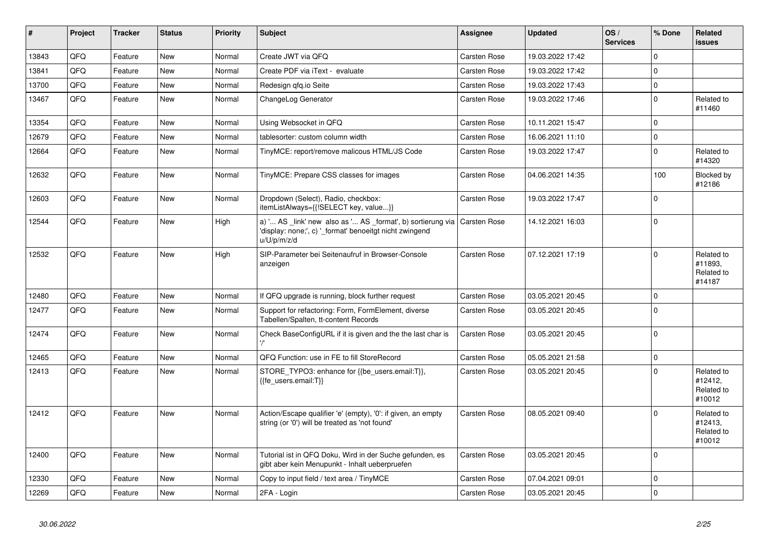| #     | Project | <b>Tracker</b> | <b>Status</b> | <b>Priority</b> | <b>Subject</b>                                                                                                                                       | Assignee            | <b>Updated</b>   | OS/<br><b>Services</b> | % Done      | Related<br><b>issues</b>                      |
|-------|---------|----------------|---------------|-----------------|------------------------------------------------------------------------------------------------------------------------------------------------------|---------------------|------------------|------------------------|-------------|-----------------------------------------------|
| 13843 | QFQ     | Feature        | <b>New</b>    | Normal          | Create JWT via QFQ                                                                                                                                   | Carsten Rose        | 19.03.2022 17:42 |                        | $\Omega$    |                                               |
| 13841 | QFQ     | Feature        | New           | Normal          | Create PDF via iText - evaluate                                                                                                                      | Carsten Rose        | 19.03.2022 17:42 |                        | $\mathbf 0$ |                                               |
| 13700 | QFQ     | Feature        | New           | Normal          | Redesign gfg.io Seite                                                                                                                                | Carsten Rose        | 19.03.2022 17:43 |                        | $\mathbf 0$ |                                               |
| 13467 | QFQ     | Feature        | New           | Normal          | ChangeLog Generator                                                                                                                                  | <b>Carsten Rose</b> | 19.03.2022 17:46 |                        | $\mathbf 0$ | Related to<br>#11460                          |
| 13354 | QFQ     | Feature        | <b>New</b>    | Normal          | Using Websocket in QFQ                                                                                                                               | <b>Carsten Rose</b> | 10.11.2021 15:47 |                        | $\mathbf 0$ |                                               |
| 12679 | QFQ     | Feature        | New           | Normal          | tablesorter: custom column width                                                                                                                     | <b>Carsten Rose</b> | 16.06.2021 11:10 |                        | $\mathbf 0$ |                                               |
| 12664 | QFQ     | Feature        | New           | Normal          | TinyMCE: report/remove malicous HTML/JS Code                                                                                                         | Carsten Rose        | 19.03.2022 17:47 |                        | $\Omega$    | Related to<br>#14320                          |
| 12632 | QFQ     | Feature        | <b>New</b>    | Normal          | TinyMCE: Prepare CSS classes for images                                                                                                              | Carsten Rose        | 04.06.2021 14:35 |                        | 100         | Blocked by<br>#12186                          |
| 12603 | QFQ     | Feature        | <b>New</b>    | Normal          | Dropdown (Select), Radio, checkbox:<br>itemListAlways={{!SELECT key, value}}                                                                         | Carsten Rose        | 19.03.2022 17:47 |                        | $\mathbf 0$ |                                               |
| 12544 | QFQ     | Feature        | New           | High            | a) ' AS _link' new also as ' AS _format', b) sortierung via   Carsten Rose<br>'display: none;', c) '_format' benoeitgt nicht zwingend<br>u/U/p/m/z/d |                     | 14.12.2021 16:03 |                        | $\mathbf 0$ |                                               |
| 12532 | QFQ     | Feature        | New           | High            | SIP-Parameter bei Seitenaufruf in Browser-Console<br>anzeigen                                                                                        | <b>Carsten Rose</b> | 07.12.2021 17:19 |                        | $\Omega$    | Related to<br>#11893,<br>Related to<br>#14187 |
| 12480 | QFQ     | Feature        | <b>New</b>    | Normal          | If QFQ upgrade is running, block further request                                                                                                     | <b>Carsten Rose</b> | 03.05.2021 20:45 |                        | $\mathbf 0$ |                                               |
| 12477 | QFQ     | Feature        | New           | Normal          | Support for refactoring: Form, FormElement, diverse<br>Tabellen/Spalten, tt-content Records                                                          | Carsten Rose        | 03.05.2021 20:45 |                        | $\mathbf 0$ |                                               |
| 12474 | QFQ     | Feature        | New           | Normal          | Check BaseConfigURL if it is given and the the last char is                                                                                          | Carsten Rose        | 03.05.2021 20:45 |                        | $\Omega$    |                                               |
| 12465 | QFQ     | Feature        | <b>New</b>    | Normal          | QFQ Function: use in FE to fill StoreRecord                                                                                                          | Carsten Rose        | 05.05.2021 21:58 |                        | $\pmb{0}$   |                                               |
| 12413 | QFQ     | Feature        | New           | Normal          | STORE_TYPO3: enhance for {{be_users.email:T}},<br>{{fe users.email:T}}                                                                               | Carsten Rose        | 03.05.2021 20:45 |                        | $\Omega$    | Related to<br>#12412,<br>Related to<br>#10012 |
| 12412 | QFQ     | Feature        | <b>New</b>    | Normal          | Action/Escape qualifier 'e' (empty), '0': if given, an empty<br>string (or '0') will be treated as 'not found'                                       | <b>Carsten Rose</b> | 08.05.2021 09:40 |                        | $\mathbf 0$ | Related to<br>#12413,<br>Related to<br>#10012 |
| 12400 | QFQ     | Feature        | <b>New</b>    | Normal          | Tutorial ist in QFQ Doku, Wird in der Suche gefunden, es<br>gibt aber kein Menupunkt - Inhalt ueberpruefen                                           | <b>Carsten Rose</b> | 03.05.2021 20:45 |                        | $\mathbf 0$ |                                               |
| 12330 | QFQ     | Feature        | <b>New</b>    | Normal          | Copy to input field / text area / TinyMCE                                                                                                            | Carsten Rose        | 07.04.2021 09:01 |                        | $\mathbf 0$ |                                               |
| 12269 | QFQ     | Feature        | <b>New</b>    | Normal          | 2FA - Login                                                                                                                                          | <b>Carsten Rose</b> | 03.05.2021 20:45 |                        | $\mathbf 0$ |                                               |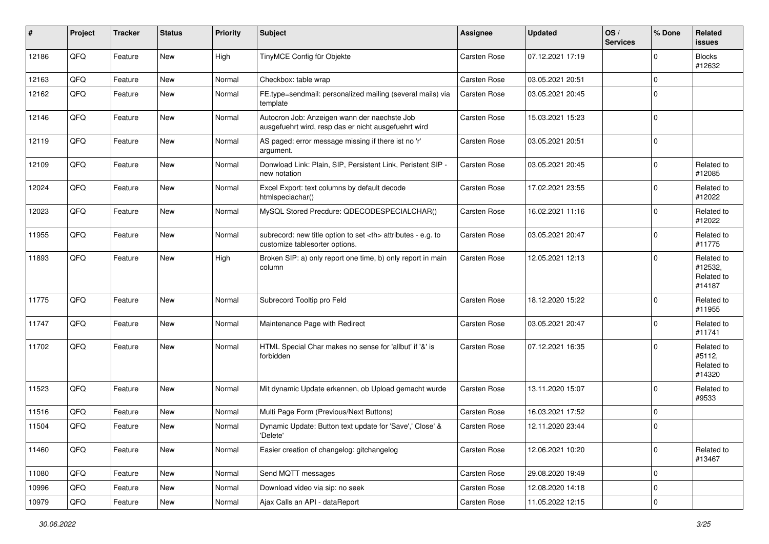| #     | Project | <b>Tracker</b> | <b>Status</b> | <b>Priority</b> | <b>Subject</b>                                                                                       | <b>Assignee</b>                                        | <b>Updated</b>      | OS/<br><b>Services</b> | % Done      | Related<br><b>issues</b>                      |                      |
|-------|---------|----------------|---------------|-----------------|------------------------------------------------------------------------------------------------------|--------------------------------------------------------|---------------------|------------------------|-------------|-----------------------------------------------|----------------------|
| 12186 | QFQ     | Feature        | New           | High            | TinyMCE Config für Objekte                                                                           | <b>Carsten Rose</b>                                    | 07.12.2021 17:19    |                        | 0           | <b>Blocks</b><br>#12632                       |                      |
| 12163 | QFQ     | Feature        | <b>New</b>    | Normal          | Checkbox: table wrap                                                                                 | <b>Carsten Rose</b>                                    | 03.05.2021 20:51    |                        | 0           |                                               |                      |
| 12162 | QFQ     | Feature        | New           | Normal          | FE.type=sendmail: personalized mailing (several mails) via<br>template                               | Carsten Rose                                           | 03.05.2021 20:45    |                        | 0           |                                               |                      |
| 12146 | QFQ     | Feature        | New           | Normal          | Autocron Job: Anzeigen wann der naechste Job<br>ausgefuehrt wird, resp das er nicht ausgefuehrt wird | Carsten Rose                                           | 15.03.2021 15:23    |                        | 0           |                                               |                      |
| 12119 | QFQ     | Feature        | New           | Normal          | AS paged: error message missing if there ist no 'r'<br>argument.                                     | Carsten Rose                                           | 03.05.2021 20:51    |                        | 0           |                                               |                      |
| 12109 | QFQ     | Feature        | <b>New</b>    | Normal          | Donwload Link: Plain, SIP, Persistent Link, Peristent SIP -<br>new notation                          | <b>Carsten Rose</b>                                    | 03.05.2021 20:45    |                        | 0           | Related to<br>#12085                          |                      |
| 12024 | QFQ     | Feature        | <b>New</b>    | Normal          | Excel Export: text columns by default decode<br>htmlspeciachar()                                     | <b>Carsten Rose</b>                                    | 17.02.2021 23:55    |                        | 0           | Related to<br>#12022                          |                      |
| 12023 | QFQ     | Feature        | <b>New</b>    | Normal          | MySQL Stored Precdure: QDECODESPECIALCHAR()                                                          | <b>Carsten Rose</b>                                    | 16.02.2021 11:16    |                        | 0           | Related to<br>#12022                          |                      |
| 11955 | QFQ     | Feature        | New           | Normal          | subrecord: new title option to set <th> attributes - e.g. to<br/>customize tablesorter options.</th> | attributes - e.g. to<br>customize tablesorter options. | <b>Carsten Rose</b> | 03.05.2021 20:47       |             | 0                                             | Related to<br>#11775 |
| 11893 | QFQ     | Feature        | New           | High            | Broken SIP: a) only report one time, b) only report in main<br>column                                | <b>Carsten Rose</b>                                    | 12.05.2021 12:13    |                        | 0           | Related to<br>#12532,<br>Related to<br>#14187 |                      |
| 11775 | QFQ     | Feature        | <b>New</b>    | Normal          | Subrecord Tooltip pro Feld                                                                           | Carsten Rose                                           | 18.12.2020 15:22    |                        | 0           | Related to<br>#11955                          |                      |
| 11747 | QFQ     | Feature        | <b>New</b>    | Normal          | Maintenance Page with Redirect                                                                       | Carsten Rose                                           | 03.05.2021 20:47    |                        | 0           | Related to<br>#11741                          |                      |
| 11702 | QFQ     | Feature        | <b>New</b>    | Normal          | HTML Special Char makes no sense for 'allbut' if '&' is<br>forbidden                                 | <b>Carsten Rose</b>                                    | 07.12.2021 16:35    |                        | 0           | Related to<br>#5112,<br>Related to<br>#14320  |                      |
| 11523 | QFQ     | Feature        | <b>New</b>    | Normal          | Mit dynamic Update erkennen, ob Upload gemacht wurde                                                 | <b>Carsten Rose</b>                                    | 13.11.2020 15:07    |                        | $\mathbf 0$ | Related to<br>#9533                           |                      |
| 11516 | QFQ     | Feature        | New           | Normal          | Multi Page Form (Previous/Next Buttons)                                                              | <b>Carsten Rose</b>                                    | 16.03.2021 17:52    |                        | 0           |                                               |                      |
| 11504 | QFQ     | Feature        | <b>New</b>    | Normal          | Dynamic Update: Button text update for 'Save',' Close' &<br>'Delete'                                 | <b>Carsten Rose</b>                                    | 12.11.2020 23:44    |                        | 0           |                                               |                      |
| 11460 | QFQ     | Feature        | New           | Normal          | Easier creation of changelog: gitchangelog                                                           | Carsten Rose                                           | 12.06.2021 10:20    |                        | 0           | Related to<br>#13467                          |                      |
| 11080 | QFQ     | Feature        | New           | Normal          | Send MQTT messages                                                                                   | Carsten Rose                                           | 29.08.2020 19:49    |                        | 0           |                                               |                      |
| 10996 | QFQ     | Feature        | New           | Normal          | Download video via sip: no seek                                                                      | Carsten Rose                                           | 12.08.2020 14:18    |                        | 0           |                                               |                      |
| 10979 | QFQ     | Feature        | New           | Normal          | Ajax Calls an API - dataReport                                                                       | Carsten Rose                                           | 11.05.2022 12:15    |                        | $\mathsf 0$ |                                               |                      |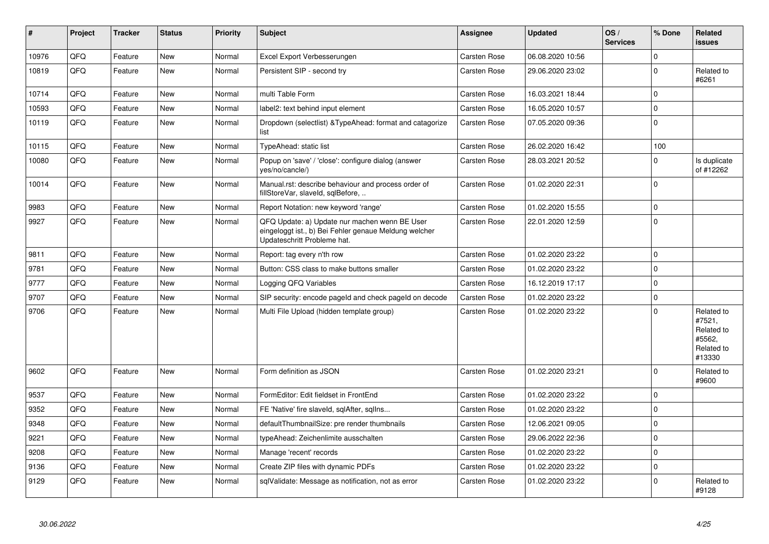| #     | <b>Project</b> | <b>Tracker</b> | <b>Status</b> | <b>Priority</b> | <b>Subject</b>                                                                                                                        | <b>Assignee</b>     | <b>Updated</b>   | OS/<br><b>Services</b> | % Done      | Related<br><b>issues</b>                                             |
|-------|----------------|----------------|---------------|-----------------|---------------------------------------------------------------------------------------------------------------------------------------|---------------------|------------------|------------------------|-------------|----------------------------------------------------------------------|
| 10976 | QFQ            | Feature        | <b>New</b>    | Normal          | Excel Export Verbesserungen                                                                                                           | Carsten Rose        | 06.08.2020 10:56 |                        | $\Omega$    |                                                                      |
| 10819 | QFQ            | Feature        | New           | Normal          | Persistent SIP - second try                                                                                                           | Carsten Rose        | 29.06.2020 23:02 |                        | $\Omega$    | Related to<br>#6261                                                  |
| 10714 | QFQ            | Feature        | New           | Normal          | multi Table Form                                                                                                                      | Carsten Rose        | 16.03.2021 18:44 |                        | $\Omega$    |                                                                      |
| 10593 | QFQ            | Feature        | New           | Normal          | label2: text behind input element                                                                                                     | Carsten Rose        | 16.05.2020 10:57 |                        | $\Omega$    |                                                                      |
| 10119 | QFQ            | Feature        | New           | Normal          | Dropdown (selectlist) & Type Ahead: format and catagorize<br>list                                                                     | <b>Carsten Rose</b> | 07.05.2020 09:36 |                        | $\Omega$    |                                                                      |
| 10115 | QFQ            | Feature        | New           | Normal          | TypeAhead: static list                                                                                                                | Carsten Rose        | 26.02.2020 16:42 |                        | 100         |                                                                      |
| 10080 | QFQ            | Feature        | New           | Normal          | Popup on 'save' / 'close': configure dialog (answer<br>yes/no/cancle/)                                                                | <b>Carsten Rose</b> | 28.03.2021 20:52 |                        | $\Omega$    | Is duplicate<br>of #12262                                            |
| 10014 | QFQ            | Feature        | New           | Normal          | Manual.rst: describe behaviour and process order of<br>fillStoreVar, slaveId, sqlBefore,                                              | Carsten Rose        | 01.02.2020 22:31 |                        | $\Omega$    |                                                                      |
| 9983  | QFQ            | Feature        | New           | Normal          | Report Notation: new keyword 'range'                                                                                                  | Carsten Rose        | 01.02.2020 15:55 |                        | $\Omega$    |                                                                      |
| 9927  | QFQ            | Feature        | New           | Normal          | QFQ Update: a) Update nur machen wenn BE User<br>eingeloggt ist., b) Bei Fehler genaue Meldung welcher<br>Updateschritt Probleme hat. | <b>Carsten Rose</b> | 22.01.2020 12:59 |                        | $\Omega$    |                                                                      |
| 9811  | QFQ            | Feature        | <b>New</b>    | Normal          | Report: tag every n'th row                                                                                                            | Carsten Rose        | 01.02.2020 23:22 |                        | $\Omega$    |                                                                      |
| 9781  | QFQ            | Feature        | <b>New</b>    | Normal          | Button: CSS class to make buttons smaller                                                                                             | Carsten Rose        | 01.02.2020 23:22 |                        | $\Omega$    |                                                                      |
| 9777  | QFQ            | Feature        | New           | Normal          | Logging QFQ Variables                                                                                                                 | <b>Carsten Rose</b> | 16.12.2019 17:17 |                        | $\Omega$    |                                                                      |
| 9707  | QFQ            | Feature        | <b>New</b>    | Normal          | SIP security: encode pageld and check pageld on decode                                                                                | <b>Carsten Rose</b> | 01.02.2020 23:22 |                        | $\Omega$    |                                                                      |
| 9706  | QFQ            | Feature        | New           | Normal          | Multi File Upload (hidden template group)                                                                                             | Carsten Rose        | 01.02.2020 23:22 |                        | $\Omega$    | Related to<br>#7521,<br>Related to<br>#5562,<br>Related to<br>#13330 |
| 9602  | QFQ            | Feature        | <b>New</b>    | Normal          | Form definition as JSON                                                                                                               | Carsten Rose        | 01.02.2020 23:21 |                        | $\Omega$    | Related to<br>#9600                                                  |
| 9537  | QFQ            | Feature        | <b>New</b>    | Normal          | FormEditor: Edit fieldset in FrontEnd                                                                                                 | Carsten Rose        | 01.02.2020 23:22 |                        | $\Omega$    |                                                                      |
| 9352  | QFQ            | Feature        | New           | Normal          | FE 'Native' fire slaveld, sqlAfter, sqllns                                                                                            | Carsten Rose        | 01.02.2020 23:22 |                        | $\Omega$    |                                                                      |
| 9348  | QFQ            | Feature        | New           | Normal          | defaultThumbnailSize: pre render thumbnails                                                                                           | Carsten Rose        | 12.06.2021 09:05 |                        | $\Omega$    |                                                                      |
| 9221  | QFQ            | Feature        | New           | Normal          | typeAhead: Zeichenlimite ausschalten                                                                                                  | Carsten Rose        | 29.06.2022 22:36 |                        | $\Omega$    |                                                                      |
| 9208  | QFQ            | Feature        | New           | Normal          | Manage 'recent' records                                                                                                               | Carsten Rose        | 01.02.2020 23:22 |                        | $\Omega$    |                                                                      |
| 9136  | QFQ            | Feature        | New           | Normal          | Create ZIP files with dynamic PDFs                                                                                                    | Carsten Rose        | 01.02.2020 23:22 |                        | $\mathbf 0$ |                                                                      |
| 9129  | QFQ            | Feature        | New           | Normal          | sqlValidate: Message as notification, not as error                                                                                    | Carsten Rose        | 01.02.2020 23:22 |                        | $\Omega$    | Related to<br>#9128                                                  |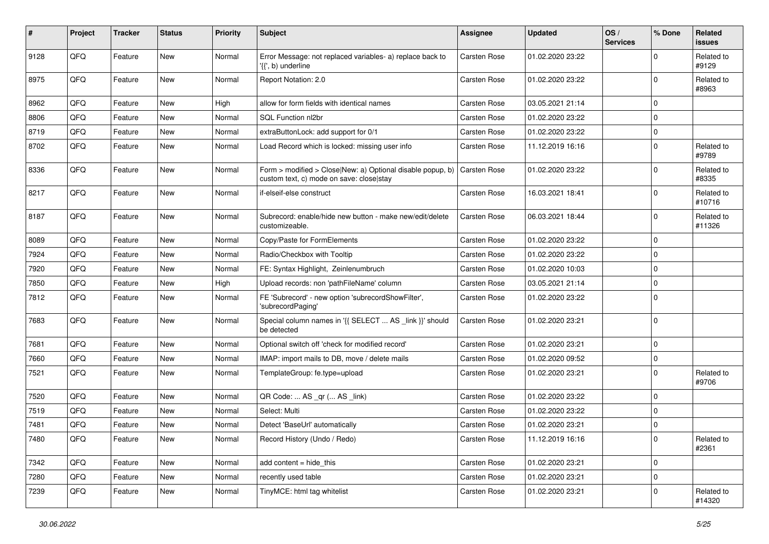| #    | Project | <b>Tracker</b> | <b>Status</b> | <b>Priority</b> | Subject                                                                                                | <b>Assignee</b>     | <b>Updated</b>   | OS/<br><b>Services</b> | % Done      | Related<br><b>issues</b> |
|------|---------|----------------|---------------|-----------------|--------------------------------------------------------------------------------------------------------|---------------------|------------------|------------------------|-------------|--------------------------|
| 9128 | QFQ     | Feature        | <b>New</b>    | Normal          | Error Message: not replaced variables- a) replace back to<br>'{{', b) underline                        | <b>Carsten Rose</b> | 01.02.2020 23:22 |                        | $\Omega$    | Related to<br>#9129      |
| 8975 | QFQ     | Feature        | New           | Normal          | Report Notation: 2.0                                                                                   | <b>Carsten Rose</b> | 01.02.2020 23:22 |                        | $\mathbf 0$ | Related to<br>#8963      |
| 8962 | QFQ     | Feature        | New           | High            | allow for form fields with identical names                                                             | <b>Carsten Rose</b> | 03.05.2021 21:14 |                        | $\mathbf 0$ |                          |
| 8806 | QFQ     | Feature        | New           | Normal          | SQL Function nl2br                                                                                     | Carsten Rose        | 01.02.2020 23:22 |                        | $\mathbf 0$ |                          |
| 8719 | QFQ     | Feature        | New           | Normal          | extraButtonLock: add support for 0/1                                                                   | <b>Carsten Rose</b> | 01.02.2020 23:22 |                        | $\pmb{0}$   |                          |
| 8702 | QFQ     | Feature        | New           | Normal          | Load Record which is locked: missing user info                                                         | <b>Carsten Rose</b> | 11.12.2019 16:16 |                        | $\mathbf 0$ | Related to<br>#9789      |
| 8336 | QFQ     | Feature        | New           | Normal          | Form > modified > Close New: a) Optional disable popup, b)<br>custom text, c) mode on save: close stay | Carsten Rose        | 01.02.2020 23:22 |                        | $\mathbf 0$ | Related to<br>#8335      |
| 8217 | QFQ     | Feature        | <b>New</b>    | Normal          | if-elseif-else construct                                                                               | Carsten Rose        | 16.03.2021 18:41 |                        | $\mathbf 0$ | Related to<br>#10716     |
| 8187 | QFQ     | Feature        | New           | Normal          | Subrecord: enable/hide new button - make new/edit/delete<br>customizeable.                             | Carsten Rose        | 06.03.2021 18:44 |                        | $\mathbf 0$ | Related to<br>#11326     |
| 8089 | QFQ     | Feature        | New           | Normal          | Copy/Paste for FormElements                                                                            | <b>Carsten Rose</b> | 01.02.2020 23:22 |                        | $\mathbf 0$ |                          |
| 7924 | QFQ     | Feature        | New           | Normal          | Radio/Checkbox with Tooltip                                                                            | <b>Carsten Rose</b> | 01.02.2020 23:22 |                        | $\mathbf 0$ |                          |
| 7920 | QFQ     | Feature        | New           | Normal          | FE: Syntax Highlight, Zeinlenumbruch                                                                   | Carsten Rose        | 01.02.2020 10:03 |                        | 0           |                          |
| 7850 | QFQ     | Feature        | New           | High            | Upload records: non 'pathFileName' column                                                              | <b>Carsten Rose</b> | 03.05.2021 21:14 |                        | $\mathbf 0$ |                          |
| 7812 | QFQ     | Feature        | <b>New</b>    | Normal          | FE 'Subrecord' - new option 'subrecordShowFilter',<br>'subrecordPaging'                                | <b>Carsten Rose</b> | 01.02.2020 23:22 |                        | $\mathbf 0$ |                          |
| 7683 | QFQ     | Feature        | New           | Normal          | Special column names in '{{ SELECT  AS _link }}' should<br>be detected                                 | Carsten Rose        | 01.02.2020 23:21 |                        | $\mathbf 0$ |                          |
| 7681 | QFQ     | Feature        | <b>New</b>    | Normal          | Optional switch off 'check for modified record'                                                        | Carsten Rose        | 01.02.2020 23:21 |                        | $\mathbf 0$ |                          |
| 7660 | QFQ     | Feature        | New           | Normal          | IMAP: import mails to DB, move / delete mails                                                          | Carsten Rose        | 01.02.2020 09:52 |                        | $\mathbf 0$ |                          |
| 7521 | QFQ     | Feature        | New           | Normal          | TemplateGroup: fe.type=upload                                                                          | <b>Carsten Rose</b> | 01.02.2020 23:21 |                        | $\mathbf 0$ | Related to<br>#9706      |
| 7520 | QFQ     | Feature        | <b>New</b>    | Normal          | QR Code:  AS _qr ( AS _link)                                                                           | Carsten Rose        | 01.02.2020 23:22 |                        | $\mathbf 0$ |                          |
| 7519 | QFQ     | Feature        | New           | Normal          | Select: Multi                                                                                          | <b>Carsten Rose</b> | 01.02.2020 23:22 |                        | $\mathbf 0$ |                          |
| 7481 | QFQ     | Feature        | New           | Normal          | Detect 'BaseUrl' automatically                                                                         | <b>Carsten Rose</b> | 01.02.2020 23:21 |                        | 0           |                          |
| 7480 | QFQ     | Feature        | New           | Normal          | Record History (Undo / Redo)                                                                           | Carsten Rose        | 11.12.2019 16:16 |                        | 0           | Related to<br>#2361      |
| 7342 | QFQ     | Feature        | <b>New</b>    | Normal          | add content = hide_this                                                                                | Carsten Rose        | 01.02.2020 23:21 |                        | $\mathbf 0$ |                          |
| 7280 | QFQ     | Feature        | New           | Normal          | recently used table                                                                                    | Carsten Rose        | 01.02.2020 23:21 |                        | $\pmb{0}$   |                          |
| 7239 | QFQ     | Feature        | New           | Normal          | TinyMCE: html tag whitelist                                                                            | Carsten Rose        | 01.02.2020 23:21 |                        | $\mathbf 0$ | Related to<br>#14320     |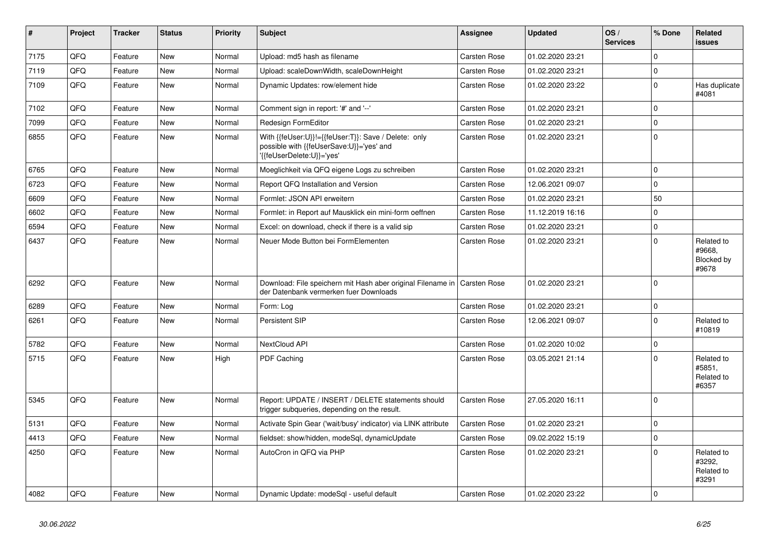| #    | Project | <b>Tracker</b> | <b>Status</b> | <b>Priority</b> | <b>Subject</b>                                                                                                               | Assignee            | <b>Updated</b>   | OS/<br><b>Services</b> | % Done      | Related<br>issues                           |
|------|---------|----------------|---------------|-----------------|------------------------------------------------------------------------------------------------------------------------------|---------------------|------------------|------------------------|-------------|---------------------------------------------|
| 7175 | QFQ     | Feature        | <b>New</b>    | Normal          | Upload: md5 hash as filename                                                                                                 | Carsten Rose        | 01.02.2020 23:21 |                        | $\Omega$    |                                             |
| 7119 | QFQ     | Feature        | New           | Normal          | Upload: scaleDownWidth, scaleDownHeight                                                                                      | <b>Carsten Rose</b> | 01.02.2020 23:21 |                        | $\Omega$    |                                             |
| 7109 | QFQ     | Feature        | New           | Normal          | Dynamic Updates: row/element hide                                                                                            | Carsten Rose        | 01.02.2020 23:22 |                        | $\mathbf 0$ | Has duplicate<br>#4081                      |
| 7102 | QFQ     | Feature        | <b>New</b>    | Normal          | Comment sign in report: '#' and '--'                                                                                         | Carsten Rose        | 01.02.2020 23:21 |                        | $\Omega$    |                                             |
| 7099 | QFQ     | Feature        | <b>New</b>    | Normal          | <b>Redesign FormEditor</b>                                                                                                   | Carsten Rose        | 01.02.2020 23:21 |                        | $\mathbf 0$ |                                             |
| 6855 | QFQ     | Feature        | <b>New</b>    | Normal          | With {{feUser:U}}!={{feUser:T}}: Save / Delete: only<br>possible with {{feUserSave:U}}='yes' and<br>'{feUserDelete:U}}='yes' | <b>Carsten Rose</b> | 01.02.2020 23:21 |                        | $\Omega$    |                                             |
| 6765 | QFQ     | Feature        | <b>New</b>    | Normal          | Moeglichkeit via QFQ eigene Logs zu schreiben                                                                                | <b>Carsten Rose</b> | 01.02.2020 23:21 |                        | $\mathbf 0$ |                                             |
| 6723 | QFQ     | Feature        | New           | Normal          | Report QFQ Installation and Version                                                                                          | Carsten Rose        | 12.06.2021 09:07 |                        | $\mathbf 0$ |                                             |
| 6609 | QFQ     | Feature        | <b>New</b>    | Normal          | Formlet: JSON API erweitern                                                                                                  | Carsten Rose        | 01.02.2020 23:21 |                        | 50          |                                             |
| 6602 | QFQ     | Feature        | <b>New</b>    | Normal          | Formlet: in Report auf Mausklick ein mini-form oeffnen                                                                       | <b>Carsten Rose</b> | 11.12.2019 16:16 |                        | $\Omega$    |                                             |
| 6594 | QFQ     | Feature        | New           | Normal          | Excel: on download, check if there is a valid sip                                                                            | <b>Carsten Rose</b> | 01.02.2020 23:21 |                        | $\mathbf 0$ |                                             |
| 6437 | QFQ     | Feature        | New           | Normal          | Neuer Mode Button bei FormElementen                                                                                          | Carsten Rose        | 01.02.2020 23:21 |                        | $\mathbf 0$ | Related to<br>#9668.<br>Blocked by<br>#9678 |
| 6292 | QFQ     | Feature        | <b>New</b>    | Normal          | Download: File speichern mit Hash aber original Filename in<br>der Datenbank vermerken fuer Downloads                        | <b>Carsten Rose</b> | 01.02.2020 23:21 |                        | $\Omega$    |                                             |
| 6289 | QFQ     | Feature        | <b>New</b>    | Normal          | Form: Log                                                                                                                    | <b>Carsten Rose</b> | 01.02.2020 23:21 |                        | $\mathbf 0$ |                                             |
| 6261 | QFQ     | Feature        | New           | Normal          | Persistent SIP                                                                                                               | Carsten Rose        | 12.06.2021 09:07 |                        | $\Omega$    | Related to<br>#10819                        |
| 5782 | QFQ     | Feature        | New           | Normal          | NextCloud API                                                                                                                | Carsten Rose        | 01.02.2020 10:02 |                        | $\mathbf 0$ |                                             |
| 5715 | QFQ     | Feature        | <b>New</b>    | High            | PDF Caching                                                                                                                  | Carsten Rose        | 03.05.2021 21:14 |                        | $\mathbf 0$ | Related to<br>#5851,<br>Related to<br>#6357 |
| 5345 | QFQ     | Feature        | <b>New</b>    | Normal          | Report: UPDATE / INSERT / DELETE statements should<br>trigger subqueries, depending on the result.                           | <b>Carsten Rose</b> | 27.05.2020 16:11 |                        | $\Omega$    |                                             |
| 5131 | QFQ     | Feature        | <b>New</b>    | Normal          | Activate Spin Gear ('wait/busy' indicator) via LINK attribute                                                                | <b>Carsten Rose</b> | 01.02.2020 23:21 |                        | $\mathbf 0$ |                                             |
| 4413 | QFQ     | Feature        | New           | Normal          | fieldset: show/hidden, modeSql, dynamicUpdate                                                                                | Carsten Rose        | 09.02.2022 15:19 |                        | $\Omega$    |                                             |
| 4250 | QFQ     | Feature        | <b>New</b>    | Normal          | AutoCron in QFQ via PHP                                                                                                      | Carsten Rose        | 01.02.2020 23:21 |                        | $\Omega$    | Related to<br>#3292,<br>Related to<br>#3291 |
| 4082 | QFQ     | Feature        | <b>New</b>    | Normal          | Dynamic Update: modeSgl - useful default                                                                                     | <b>Carsten Rose</b> | 01.02.2020 23:22 |                        | $\mathbf 0$ |                                             |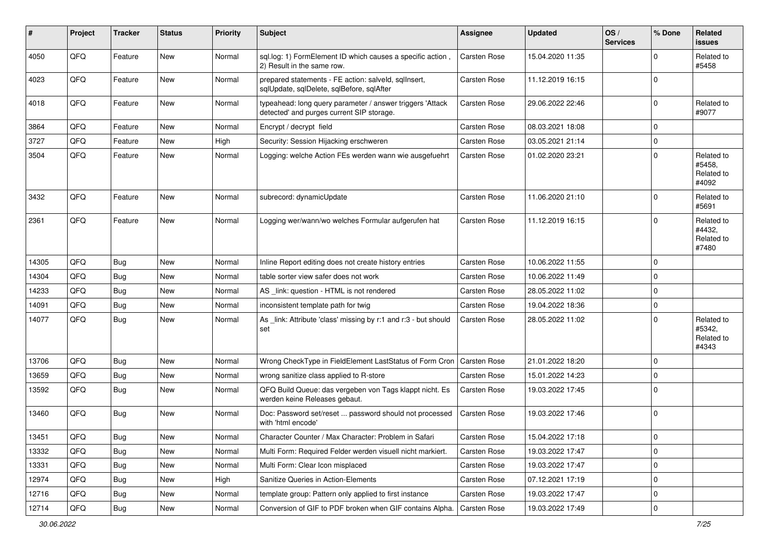| #     | Project | <b>Tracker</b> | <b>Status</b> | <b>Priority</b> | Subject                                                                                                | <b>Assignee</b>     | <b>Updated</b>   | OS/<br><b>Services</b> | % Done      | Related<br><b>issues</b>                    |
|-------|---------|----------------|---------------|-----------------|--------------------------------------------------------------------------------------------------------|---------------------|------------------|------------------------|-------------|---------------------------------------------|
| 4050  | QFQ     | Feature        | <b>New</b>    | Normal          | sql.log: 1) FormElement ID which causes a specific action,<br>2) Result in the same row.               | <b>Carsten Rose</b> | 15.04.2020 11:35 |                        | $\Omega$    | Related to<br>#5458                         |
| 4023  | QFQ     | Feature        | New           | Normal          | prepared statements - FE action: salveld, sqlInsert,<br>sqlUpdate, sqlDelete, sqlBefore, sqlAfter      | <b>Carsten Rose</b> | 11.12.2019 16:15 |                        | $\Omega$    |                                             |
| 4018  | QFQ     | Feature        | <b>New</b>    | Normal          | typeahead: long query parameter / answer triggers 'Attack<br>detected' and purges current SIP storage. | <b>Carsten Rose</b> | 29.06.2022 22:46 |                        | $\mathbf 0$ | Related to<br>#9077                         |
| 3864  | QFQ     | Feature        | <b>New</b>    | Normal          | Encrypt / decrypt field                                                                                | <b>Carsten Rose</b> | 08.03.2021 18:08 |                        | $\mathbf 0$ |                                             |
| 3727  | QFQ     | Feature        | New           | High            | Security: Session Hijacking erschweren                                                                 | <b>Carsten Rose</b> | 03.05.2021 21:14 |                        | $\mathbf 0$ |                                             |
| 3504  | QFQ     | Feature        | New           | Normal          | Logging: welche Action FEs werden wann wie ausgefuehrt                                                 | <b>Carsten Rose</b> | 01.02.2020 23:21 |                        | $\mathbf 0$ | Related to<br>#5458.<br>Related to<br>#4092 |
| 3432  | QFQ     | Feature        | <b>New</b>    | Normal          | subrecord: dynamicUpdate                                                                               | <b>Carsten Rose</b> | 11.06.2020 21:10 |                        | $\Omega$    | Related to<br>#5691                         |
| 2361  | QFQ     | Feature        | <b>New</b>    | Normal          | Logging wer/wann/wo welches Formular aufgerufen hat                                                    | <b>Carsten Rose</b> | 11.12.2019 16:15 |                        | $\Omega$    | Related to<br>#4432.<br>Related to<br>#7480 |
| 14305 | QFQ     | Bug            | <b>New</b>    | Normal          | Inline Report editing does not create history entries                                                  | <b>Carsten Rose</b> | 10.06.2022 11:55 |                        | $\mathbf 0$ |                                             |
| 14304 | QFQ     | <b>Bug</b>     | <b>New</b>    | Normal          | table sorter view safer does not work                                                                  | Carsten Rose        | 10.06.2022 11:49 |                        | $\mathbf 0$ |                                             |
| 14233 | QFQ     | <b>Bug</b>     | New           | Normal          | AS _link: question - HTML is not rendered                                                              | <b>Carsten Rose</b> | 28.05.2022 11:02 |                        | $\mathbf 0$ |                                             |
| 14091 | QFQ     | <b>Bug</b>     | New           | Normal          | inconsistent template path for twig                                                                    | <b>Carsten Rose</b> | 19.04.2022 18:36 |                        | $\mathbf 0$ |                                             |
| 14077 | QFQ     | <b>Bug</b>     | <b>New</b>    | Normal          | As _link: Attribute 'class' missing by r:1 and r:3 - but should<br>set                                 | <b>Carsten Rose</b> | 28.05.2022 11:02 |                        | $\Omega$    | Related to<br>#5342.<br>Related to<br>#4343 |
| 13706 | QFQ     | Bug            | <b>New</b>    | Normal          | Wrong CheckType in FieldElement LastStatus of Form Cron                                                | <b>Carsten Rose</b> | 21.01.2022 18:20 |                        | $\mathbf 0$ |                                             |
| 13659 | QFQ     | <b>Bug</b>     | <b>New</b>    | Normal          | wrong sanitize class applied to R-store                                                                | Carsten Rose        | 15.01.2022 14:23 |                        | $\mathbf 0$ |                                             |
| 13592 | QFQ     | <b>Bug</b>     | <b>New</b>    | Normal          | QFQ Build Queue: das vergeben von Tags klappt nicht. Es<br>werden keine Releases gebaut.               | <b>Carsten Rose</b> | 19.03.2022 17:45 |                        | $\mathbf 0$ |                                             |
| 13460 | QFQ     | <b>Bug</b>     | <b>New</b>    | Normal          | Doc: Password set/reset  password should not processed<br>with 'html encode'                           | Carsten Rose        | 19.03.2022 17:46 |                        | $\mathbf 0$ |                                             |
| 13451 | QFG     | <b>Bug</b>     | New           | Normal          | Character Counter / Max Character: Problem in Safari                                                   | Carsten Rose        | 15.04.2022 17:18 |                        | U           |                                             |
| 13332 | QFQ     | <b>Bug</b>     | New           | Normal          | Multi Form: Required Felder werden visuell nicht markiert.                                             | Carsten Rose        | 19.03.2022 17:47 |                        | $\mathbf 0$ |                                             |
| 13331 | QFQ     | <b>Bug</b>     | New           | Normal          | Multi Form: Clear Icon misplaced                                                                       | Carsten Rose        | 19.03.2022 17:47 |                        | 0           |                                             |
| 12974 | QFQ     | <b>Bug</b>     | New           | High            | Sanitize Queries in Action-Elements                                                                    | Carsten Rose        | 07.12.2021 17:19 |                        | 0           |                                             |
| 12716 | QFQ     | <b>Bug</b>     | New           | Normal          | template group: Pattern only applied to first instance                                                 | Carsten Rose        | 19.03.2022 17:47 |                        | $\mathbf 0$ |                                             |
| 12714 | QFG     | Bug            | New           | Normal          | Conversion of GIF to PDF broken when GIF contains Alpha.   Carsten Rose                                |                     | 19.03.2022 17:49 |                        | $\mathbf 0$ |                                             |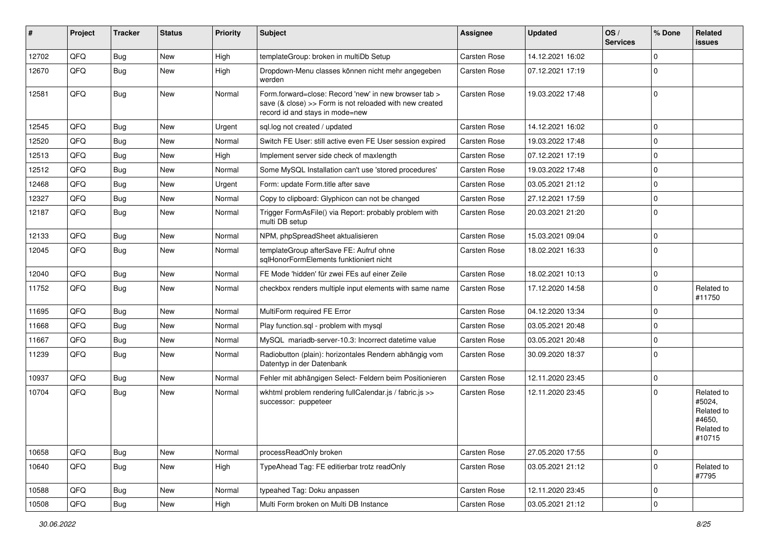| #     | Project | <b>Tracker</b> | <b>Status</b> | <b>Priority</b> | Subject                                                                                                                                             | <b>Assignee</b> | <b>Updated</b>   | OS/<br><b>Services</b> | % Done              | Related<br><b>issues</b>                                             |
|-------|---------|----------------|---------------|-----------------|-----------------------------------------------------------------------------------------------------------------------------------------------------|-----------------|------------------|------------------------|---------------------|----------------------------------------------------------------------|
| 12702 | QFQ     | <b>Bug</b>     | New           | High            | templateGroup: broken in multiDb Setup                                                                                                              | Carsten Rose    | 14.12.2021 16:02 |                        | $\mathbf 0$         |                                                                      |
| 12670 | QFQ     | <b>Bug</b>     | New           | High            | Dropdown-Menu classes können nicht mehr angegeben<br>werden                                                                                         | Carsten Rose    | 07.12.2021 17:19 |                        | $\Omega$            |                                                                      |
| 12581 | QFQ     | <b>Bug</b>     | New           | Normal          | Form.forward=close: Record 'new' in new browser tab ><br>save (& close) >> Form is not reloaded with new created<br>record id and stays in mode=new | Carsten Rose    | 19.03.2022 17:48 |                        | $\Omega$            |                                                                      |
| 12545 | QFQ     | Bug            | <b>New</b>    | Urgent          | sql.log not created / updated                                                                                                                       | Carsten Rose    | 14.12.2021 16:02 |                        | $\mathbf 0$         |                                                                      |
| 12520 | QFQ     | <b>Bug</b>     | New           | Normal          | Switch FE User: still active even FE User session expired                                                                                           | Carsten Rose    | 19.03.2022 17:48 |                        | $\mathbf 0$         |                                                                      |
| 12513 | QFQ     | <b>Bug</b>     | <b>New</b>    | High            | Implement server side check of maxlength                                                                                                            | Carsten Rose    | 07.12.2021 17:19 |                        | $\mathbf 0$         |                                                                      |
| 12512 | QFQ     | <b>Bug</b>     | New           | Normal          | Some MySQL Installation can't use 'stored procedures'                                                                                               | Carsten Rose    | 19.03.2022 17:48 |                        | $\mathbf 0$         |                                                                      |
| 12468 | QFQ     | <b>Bug</b>     | New           | Urgent          | Form: update Form.title after save                                                                                                                  | Carsten Rose    | 03.05.2021 21:12 |                        | $\Omega$            |                                                                      |
| 12327 | QFQ     | <b>Bug</b>     | New           | Normal          | Copy to clipboard: Glyphicon can not be changed                                                                                                     | Carsten Rose    | 27.12.2021 17:59 |                        | $\mathbf 0$         |                                                                      |
| 12187 | QFQ     | <b>Bug</b>     | New           | Normal          | Trigger FormAsFile() via Report: probably problem with<br>multi DB setup                                                                            | Carsten Rose    | 20.03.2021 21:20 |                        | $\Omega$            |                                                                      |
| 12133 | QFQ     | <b>Bug</b>     | New           | Normal          | NPM, phpSpreadSheet aktualisieren                                                                                                                   | Carsten Rose    | 15.03.2021 09:04 |                        | $\pmb{0}$           |                                                                      |
| 12045 | QFQ     | <b>Bug</b>     | New           | Normal          | templateGroup afterSave FE: Aufruf ohne<br>sglHonorFormElements funktioniert nicht                                                                  | Carsten Rose    | 18.02.2021 16:33 |                        | $\Omega$            |                                                                      |
| 12040 | QFQ     | Bug            | New           | Normal          | FE Mode 'hidden' für zwei FEs auf einer Zeile                                                                                                       | Carsten Rose    | 18.02.2021 10:13 |                        | $\mathbf 0$         |                                                                      |
| 11752 | QFQ     | Bug            | New           | Normal          | checkbox renders multiple input elements with same name                                                                                             | Carsten Rose    | 17.12.2020 14:58 |                        | $\Omega$            | Related to<br>#11750                                                 |
| 11695 | QFQ     | Bug            | New           | Normal          | MultiForm required FE Error                                                                                                                         | Carsten Rose    | 04.12.2020 13:34 |                        | $\mathbf 0$         |                                                                      |
| 11668 | QFQ     | Bug            | New           | Normal          | Play function.sql - problem with mysql                                                                                                              | Carsten Rose    | 03.05.2021 20:48 |                        | $\mathbf 0$         |                                                                      |
| 11667 | QFQ     | Bug            | New           | Normal          | MySQL mariadb-server-10.3: Incorrect datetime value                                                                                                 | Carsten Rose    | 03.05.2021 20:48 |                        | $\mathbf 0$         |                                                                      |
| 11239 | QFQ     | <b>Bug</b>     | New           | Normal          | Radiobutton (plain): horizontales Rendern abhängig vom<br>Datentyp in der Datenbank                                                                 | Carsten Rose    | 30.09.2020 18:37 |                        | $\Omega$            |                                                                      |
| 10937 | QFQ     | Bug            | New           | Normal          | Fehler mit abhängigen Select- Feldern beim Positionieren                                                                                            | Carsten Rose    | 12.11.2020 23:45 |                        | $\mathbf 0$         |                                                                      |
| 10704 | QFQ     | Bug            | New           | Normal          | wkhtml problem rendering fullCalendar.js / fabric.js >><br>successor: puppeteer                                                                     | Carsten Rose    | 12.11.2020 23:45 |                        | $\Omega$            | Related to<br>#5024,<br>Related to<br>#4650,<br>Related to<br>#10715 |
| 10658 | QFQ     | Bug            | New           | Normal          | processReadOnly broken                                                                                                                              | Carsten Rose    | 27.05.2020 17:55 |                        | $\mathbf 0$         |                                                                      |
| 10640 | QFQ     | <b>Bug</b>     | New           | High            | TypeAhead Tag: FE editierbar trotz readOnly                                                                                                         | Carsten Rose    | 03.05.2021 21:12 |                        | $\mathbf 0$         | Related to<br>#7795                                                  |
| 10588 | QFQ     | <b>Bug</b>     | New           | Normal          | typeahed Tag: Doku anpassen                                                                                                                         | Carsten Rose    | 12.11.2020 23:45 |                        | $\mathbf 0$         |                                                                      |
| 10508 | QFQ     | Bug            | New           | High            | Multi Form broken on Multi DB Instance                                                                                                              | Carsten Rose    | 03.05.2021 21:12 |                        | $\mathsf{O}\xspace$ |                                                                      |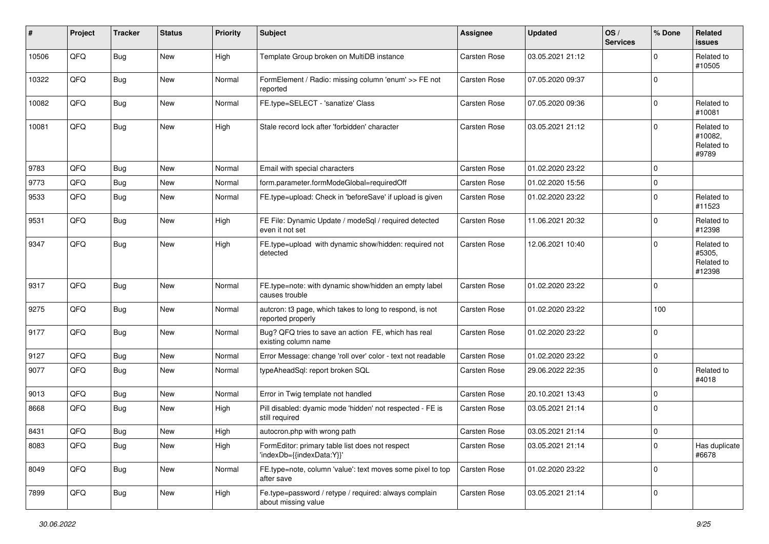| #     | Project | <b>Tracker</b> | <b>Status</b> | <b>Priority</b> | <b>Subject</b>                                                                | <b>Assignee</b>     | <b>Updated</b>   | OS/<br><b>Services</b> | % Done      | <b>Related</b><br><b>issues</b>              |
|-------|---------|----------------|---------------|-----------------|-------------------------------------------------------------------------------|---------------------|------------------|------------------------|-------------|----------------------------------------------|
| 10506 | QFQ     | Bug            | New           | High            | Template Group broken on MultiDB instance                                     | <b>Carsten Rose</b> | 03.05.2021 21:12 |                        | $\mathbf 0$ | Related to<br>#10505                         |
| 10322 | QFQ     | <b>Bug</b>     | New           | Normal          | FormElement / Radio: missing column 'enum' >> FE not<br>reported              | <b>Carsten Rose</b> | 07.05.2020 09:37 |                        | $\Omega$    |                                              |
| 10082 | QFQ     | Bug            | New           | Normal          | FE.type=SELECT - 'sanatize' Class                                             | Carsten Rose        | 07.05.2020 09:36 |                        | $\mathbf 0$ | Related to<br>#10081                         |
| 10081 | QFQ     | Bug            | New           | High            | Stale record lock after 'forbidden' character                                 | Carsten Rose        | 03.05.2021 21:12 |                        | $\mathbf 0$ | Related to<br>#10082,<br>Related to<br>#9789 |
| 9783  | QFQ     | Bug            | New           | Normal          | Email with special characters                                                 | <b>Carsten Rose</b> | 01.02.2020 23:22 |                        | $\mathbf 0$ |                                              |
| 9773  | QFQ     | <b>Bug</b>     | New           | Normal          | form.parameter.formModeGlobal=requiredOff                                     | <b>Carsten Rose</b> | 01.02.2020 15:56 |                        | $\mathbf 0$ |                                              |
| 9533  | QFQ     | <b>Bug</b>     | New           | Normal          | FE.type=upload: Check in 'beforeSave' if upload is given                      | Carsten Rose        | 01.02.2020 23:22 |                        | $\mathbf 0$ | Related to<br>#11523                         |
| 9531  | QFQ     | Bug            | New           | High            | FE File: Dynamic Update / modeSql / required detected<br>even it not set      | Carsten Rose        | 11.06.2021 20:32 |                        | $\mathbf 0$ | Related to<br>#12398                         |
| 9347  | QFQ     | Bug            | New           | High            | FE.type=upload with dynamic show/hidden: required not<br>detected             | Carsten Rose        | 12.06.2021 10:40 |                        | $\Omega$    | Related to<br>#5305,<br>Related to<br>#12398 |
| 9317  | QFQ     | Bug            | New           | Normal          | FE.type=note: with dynamic show/hidden an empty label<br>causes trouble       | Carsten Rose        | 01.02.2020 23:22 |                        | $\mathbf 0$ |                                              |
| 9275  | QFQ     | Bug            | New           | Normal          | autcron: t3 page, which takes to long to respond, is not<br>reported properly | Carsten Rose        | 01.02.2020 23:22 |                        | 100         |                                              |
| 9177  | QFQ     | <b>Bug</b>     | New           | Normal          | Bug? QFQ tries to save an action FE, which has real<br>existing column name   | Carsten Rose        | 01.02.2020 23:22 |                        | $\mathbf 0$ |                                              |
| 9127  | QFQ     | Bug            | New           | Normal          | Error Message: change 'roll over' color - text not readable                   | Carsten Rose        | 01.02.2020 23:22 |                        | $\pmb{0}$   |                                              |
| 9077  | QFQ     | Bug            | New           | Normal          | typeAheadSql: report broken SQL                                               | Carsten Rose        | 29.06.2022 22:35 |                        | $\Omega$    | Related to<br>#4018                          |
| 9013  | QFQ     | Bug            | New           | Normal          | Error in Twig template not handled                                            | Carsten Rose        | 20.10.2021 13:43 |                        | $\mathbf 0$ |                                              |
| 8668  | QFQ     | Bug            | New           | High            | Pill disabled: dyamic mode 'hidden' not respected - FE is<br>still required   | Carsten Rose        | 03.05.2021 21:14 |                        | $\mathbf 0$ |                                              |
| 8431  | QFQ     | Bug            | New           | High            | autocron.php with wrong path                                                  | Carsten Rose        | 03.05.2021 21:14 |                        | $\mathbf 0$ |                                              |
| 8083  | QFQ     | Bug            | New           | High            | FormEditor: primary table list does not respect<br>'indexDb={{indexData:Y}}'  | Carsten Rose        | 03.05.2021 21:14 |                        | $\mathbf 0$ | Has duplicate<br>#6678                       |
| 8049  | QFQ     | <b>Bug</b>     | New           | Normal          | FE.type=note, column 'value': text moves some pixel to top<br>after save      | Carsten Rose        | 01.02.2020 23:22 |                        | $\mathbf 0$ |                                              |
| 7899  | QFQ     | <b>Bug</b>     | New           | High            | Fe.type=password / retype / required: always complain<br>about missing value  | Carsten Rose        | 03.05.2021 21:14 |                        | 0           |                                              |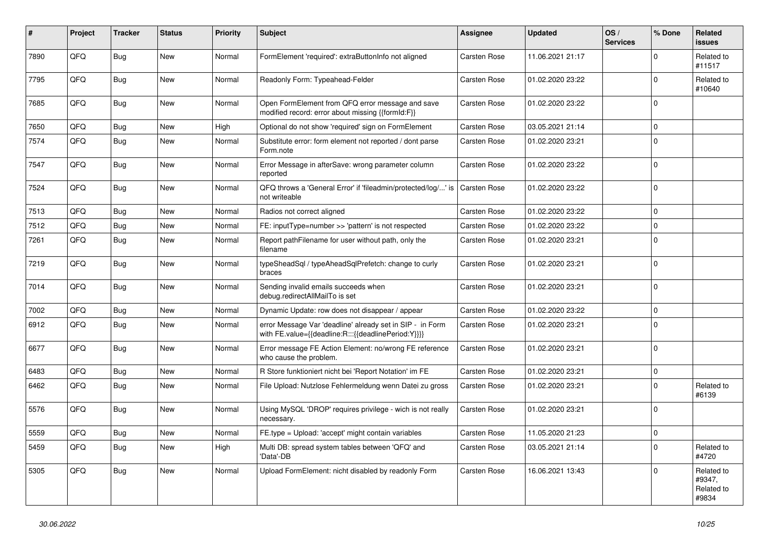| #    | Project | <b>Tracker</b> | <b>Status</b> | <b>Priority</b> | <b>Subject</b>                                                                                                   | Assignee            | <b>Updated</b>   | OS/<br><b>Services</b> | % Done      | Related<br><b>issues</b>                    |
|------|---------|----------------|---------------|-----------------|------------------------------------------------------------------------------------------------------------------|---------------------|------------------|------------------------|-------------|---------------------------------------------|
| 7890 | QFQ     | Bug            | New           | Normal          | FormElement 'required': extraButtonInfo not aligned                                                              | Carsten Rose        | 11.06.2021 21:17 |                        | 0           | Related to<br>#11517                        |
| 7795 | QFQ     | <b>Bug</b>     | New           | Normal          | Readonly Form: Typeahead-Felder                                                                                  | Carsten Rose        | 01.02.2020 23:22 |                        | $\mathbf 0$ | Related to<br>#10640                        |
| 7685 | QFQ     | Bug            | New           | Normal          | Open FormElement from QFQ error message and save<br>modified record: error about missing {{formId:F}}            | Carsten Rose        | 01.02.2020 23:22 |                        | $\Omega$    |                                             |
| 7650 | QFQ     | <b>Bug</b>     | <b>New</b>    | High            | Optional do not show 'required' sign on FormElement                                                              | Carsten Rose        | 03.05.2021 21:14 |                        | 0           |                                             |
| 7574 | QFQ     | Bug            | <b>New</b>    | Normal          | Substitute error: form element not reported / dont parse<br>Form.note                                            | Carsten Rose        | 01.02.2020 23:21 |                        | $\Omega$    |                                             |
| 7547 | QFQ     | Bug            | <b>New</b>    | Normal          | Error Message in afterSave: wrong parameter column<br>reported                                                   | Carsten Rose        | 01.02.2020 23:22 |                        | 0           |                                             |
| 7524 | QFQ     | Bug            | New           | Normal          | QFQ throws a 'General Error' if 'fileadmin/protected/log/' is<br>not writeable                                   | <b>Carsten Rose</b> | 01.02.2020 23:22 |                        | $\mathbf 0$ |                                             |
| 7513 | QFQ     | Bug            | New           | Normal          | Radios not correct aligned                                                                                       | Carsten Rose        | 01.02.2020 23:22 |                        | $\mathbf 0$ |                                             |
| 7512 | QFQ     | Bug            | <b>New</b>    | Normal          | FE: inputType=number >> 'pattern' is not respected                                                               | Carsten Rose        | 01.02.2020 23:22 |                        | $\Omega$    |                                             |
| 7261 | QFQ     | Bug            | New           | Normal          | Report pathFilename for user without path, only the<br>filename                                                  | Carsten Rose        | 01.02.2020 23:21 |                        | $\Omega$    |                                             |
| 7219 | QFQ     | Bug            | New           | Normal          | typeSheadSql / typeAheadSqlPrefetch: change to curly<br>braces                                                   | Carsten Rose        | 01.02.2020 23:21 |                        | $\Omega$    |                                             |
| 7014 | QFQ     | Bug            | New           | Normal          | Sending invalid emails succeeds when<br>debug.redirectAllMailTo is set                                           | Carsten Rose        | 01.02.2020 23:21 |                        | $\Omega$    |                                             |
| 7002 | QFQ     | Bug            | New           | Normal          | Dynamic Update: row does not disappear / appear                                                                  | Carsten Rose        | 01.02.2020 23:22 |                        | $\Omega$    |                                             |
| 6912 | QFQ     | Bug            | New           | Normal          | error Message Var 'deadline' already set in SIP - in Form<br>with FE.value={{deadline:R:::{{deadlinePeriod:Y}}}} | Carsten Rose        | 01.02.2020 23:21 |                        | $\Omega$    |                                             |
| 6677 | QFQ     | Bug            | New           | Normal          | Error message FE Action Element: no/wrong FE reference<br>who cause the problem.                                 | Carsten Rose        | 01.02.2020 23:21 |                        | 0           |                                             |
| 6483 | QFQ     | <b>Bug</b>     | New           | Normal          | R Store funktioniert nicht bei 'Report Notation' im FE                                                           | Carsten Rose        | 01.02.2020 23:21 |                        | $\mathbf 0$ |                                             |
| 6462 | QFQ     | Bug            | <b>New</b>    | Normal          | File Upload: Nutzlose Fehlermeldung wenn Datei zu gross                                                          | Carsten Rose        | 01.02.2020 23:21 |                        | $\Omega$    | Related to<br>#6139                         |
| 5576 | QFQ     | Bug            | New           | Normal          | Using MySQL 'DROP' requires privilege - wich is not really<br>necessary.                                         | Carsten Rose        | 01.02.2020 23:21 |                        | $\mathbf 0$ |                                             |
| 5559 | QFQ     | Bug            | New           | Normal          | FE.type = Upload: 'accept' might contain variables                                                               | <b>Carsten Rose</b> | 11.05.2020 21:23 |                        | 0           |                                             |
| 5459 | QFQ     | <b>Bug</b>     | New           | High            | Multi DB: spread system tables between 'QFQ' and<br>'Data'-DB                                                    | Carsten Rose        | 03.05.2021 21:14 |                        | 0           | Related to<br>#4720                         |
| 5305 | QFQ     | <b>Bug</b>     | New           | Normal          | Upload FormElement: nicht disabled by readonly Form                                                              | Carsten Rose        | 16.06.2021 13:43 |                        | $\mathbf 0$ | Related to<br>#9347,<br>Related to<br>#9834 |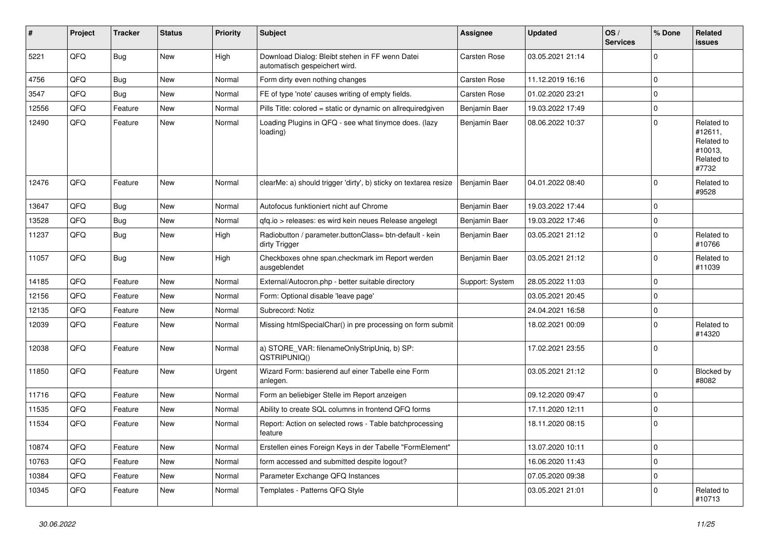| #     | Project | <b>Tracker</b> | <b>Status</b> | <b>Priority</b> | <b>Subject</b>                                                                   | <b>Assignee</b>     | <b>Updated</b>   | OS/<br><b>Services</b> | % Done      | Related<br><b>issues</b>                                              |
|-------|---------|----------------|---------------|-----------------|----------------------------------------------------------------------------------|---------------------|------------------|------------------------|-------------|-----------------------------------------------------------------------|
| 5221  | QFQ     | Bug            | <b>New</b>    | High            | Download Dialog: Bleibt stehen in FF wenn Datei<br>automatisch gespeichert wird. | <b>Carsten Rose</b> | 03.05.2021 21:14 |                        | 0           |                                                                       |
| 4756  | QFQ     | <b>Bug</b>     | <b>New</b>    | Normal          | Form dirty even nothing changes                                                  | <b>Carsten Rose</b> | 11.12.2019 16:16 |                        | $\Omega$    |                                                                       |
| 3547  | QFQ     | <b>Bug</b>     | <b>New</b>    | Normal          | FE of type 'note' causes writing of empty fields.                                | Carsten Rose        | 01.02.2020 23:21 |                        | 0           |                                                                       |
| 12556 | QFQ     | Feature        | New           | Normal          | Pills Title: colored = static or dynamic on allrequiredgiven                     | Benjamin Baer       | 19.03.2022 17:49 |                        | $\Omega$    |                                                                       |
| 12490 | QFQ     | Feature        | New           | Normal          | Loading Plugins in QFQ - see what tinymce does. (lazy<br>loading)                | Benjamin Baer       | 08.06.2022 10:37 |                        | 0           | Related to<br>#12611,<br>Related to<br>#10013,<br>Related to<br>#7732 |
| 12476 | QFQ     | Feature        | New           | Normal          | clearMe: a) should trigger 'dirty', b) sticky on textarea resize                 | Benjamin Baer       | 04.01.2022 08:40 |                        | 0           | Related to<br>#9528                                                   |
| 13647 | QFQ     | Bug            | <b>New</b>    | Normal          | Autofocus funktioniert nicht auf Chrome                                          | Benjamin Baer       | 19.03.2022 17:44 |                        | $\Omega$    |                                                                       |
| 13528 | QFQ     | <b>Bug</b>     | <b>New</b>    | Normal          | gfg.io > releases: es wird kein neues Release angelegt                           | Benjamin Baer       | 19.03.2022 17:46 |                        | 0           |                                                                       |
| 11237 | QFQ     | Bug            | New           | High            | Radiobutton / parameter.buttonClass= btn-default - kein<br>dirty Trigger         | Benjamin Baer       | 03.05.2021 21:12 |                        | 0           | Related to<br>#10766                                                  |
| 11057 | QFQ     | Bug            | New           | High            | Checkboxes ohne span.checkmark im Report werden<br>ausgeblendet                  | Benjamin Baer       | 03.05.2021 21:12 |                        | 0           | Related to<br>#11039                                                  |
| 14185 | QFQ     | Feature        | <b>New</b>    | Normal          | External/Autocron.php - better suitable directory                                | Support: System     | 28.05.2022 11:03 |                        | $\Omega$    |                                                                       |
| 12156 | QFQ     | Feature        | New           | Normal          | Form: Optional disable 'leave page'                                              |                     | 03.05.2021 20:45 |                        | 0           |                                                                       |
| 12135 | QFQ     | Feature        | <b>New</b>    | Normal          | Subrecord: Notiz                                                                 |                     | 24.04.2021 16:58 |                        | $\Omega$    |                                                                       |
| 12039 | QFQ     | Feature        | New           | Normal          | Missing htmlSpecialChar() in pre processing on form submit                       |                     | 18.02.2021 00:09 |                        | $\Omega$    | Related to<br>#14320                                                  |
| 12038 | QFQ     | Feature        | <b>New</b>    | Normal          | a) STORE_VAR: filenameOnlyStripUniq, b) SP:<br>QSTRIPUNIQ()                      |                     | 17.02.2021 23:55 |                        | 0           |                                                                       |
| 11850 | QFQ     | Feature        | <b>New</b>    | Urgent          | Wizard Form: basierend auf einer Tabelle eine Form<br>anlegen.                   |                     | 03.05.2021 21:12 |                        | 0           | Blocked by<br>#8082                                                   |
| 11716 | QFQ     | Feature        | <b>New</b>    | Normal          | Form an beliebiger Stelle im Report anzeigen                                     |                     | 09.12.2020 09:47 |                        | $\Omega$    |                                                                       |
| 11535 | QFQ     | Feature        | New           | Normal          | Ability to create SQL columns in frontend QFQ forms                              |                     | 17.11.2020 12:11 |                        | $\Omega$    |                                                                       |
| 11534 | QFQ     | Feature        | New           | Normal          | Report: Action on selected rows - Table batchprocessing<br>feature               |                     | 18.11.2020 08:15 |                        | $\mathbf 0$ |                                                                       |
| 10874 | QFQ     | Feature        | New           | Normal          | Erstellen eines Foreign Keys in der Tabelle "FormElement"                        |                     | 13.07.2020 10:11 |                        | 0           |                                                                       |
| 10763 | QFQ     | Feature        | New           | Normal          | form accessed and submitted despite logout?                                      |                     | 16.06.2020 11:43 |                        | 0           |                                                                       |
| 10384 | QFQ     | Feature        | New           | Normal          | Parameter Exchange QFQ Instances                                                 |                     | 07.05.2020 09:38 |                        | 0           |                                                                       |
| 10345 | QFQ     | Feature        | New           | Normal          | Templates - Patterns QFQ Style                                                   |                     | 03.05.2021 21:01 |                        | $\mathbf 0$ | Related to<br>#10713                                                  |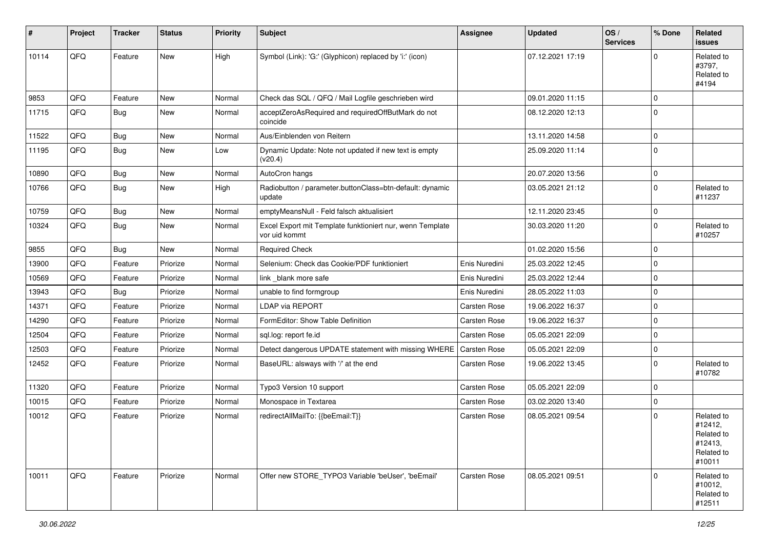| $\sharp$ | Project | <b>Tracker</b> | <b>Status</b> | <b>Priority</b> | <b>Subject</b>                                                             | <b>Assignee</b>     | <b>Updated</b>   | OS/<br><b>Services</b> | % Done      | <b>Related</b><br>issues                                               |
|----------|---------|----------------|---------------|-----------------|----------------------------------------------------------------------------|---------------------|------------------|------------------------|-------------|------------------------------------------------------------------------|
| 10114    | QFQ     | Feature        | New           | High            | Symbol (Link): 'G:' (Glyphicon) replaced by 'i:' (icon)                    |                     | 07.12.2021 17:19 |                        | $\Omega$    | Related to<br>#3797,<br>Related to<br>#4194                            |
| 9853     | QFQ     | Feature        | New           | Normal          | Check das SQL / QFQ / Mail Logfile geschrieben wird                        |                     | 09.01.2020 11:15 |                        | $\mathbf 0$ |                                                                        |
| 11715    | QFQ     | <b>Bug</b>     | New           | Normal          | acceptZeroAsRequired and requiredOffButMark do not<br>coincide             |                     | 08.12.2020 12:13 |                        | $\Omega$    |                                                                        |
| 11522    | QFQ     | Bug            | New           | Normal          | Aus/Einblenden von Reitern                                                 |                     | 13.11.2020 14:58 |                        | $\mathbf 0$ |                                                                        |
| 11195    | QFQ     | <b>Bug</b>     | New           | Low             | Dynamic Update: Note not updated if new text is empty<br>(v20.4)           |                     | 25.09.2020 11:14 |                        | $\Omega$    |                                                                        |
| 10890    | QFQ     | <b>Bug</b>     | New           | Normal          | AutoCron hangs                                                             |                     | 20.07.2020 13:56 |                        | $\mathbf 0$ |                                                                        |
| 10766    | QFQ     | Bug            | New           | High            | Radiobutton / parameter.buttonClass=btn-default: dynamic<br>update         |                     | 03.05.2021 21:12 |                        | $\mathbf 0$ | Related to<br>#11237                                                   |
| 10759    | QFQ     | <b>Bug</b>     | New           | Normal          | emptyMeansNull - Feld falsch aktualisiert                                  |                     | 12.11.2020 23:45 |                        | $\mathbf 0$ |                                                                        |
| 10324    | QFQ     | Bug            | New           | Normal          | Excel Export mit Template funktioniert nur, wenn Template<br>vor uid kommt |                     | 30.03.2020 11:20 |                        | $\mathbf 0$ | Related to<br>#10257                                                   |
| 9855     | QFQ     | <b>Bug</b>     | New           | Normal          | <b>Required Check</b>                                                      |                     | 01.02.2020 15:56 |                        | $\mathbf 0$ |                                                                        |
| 13900    | QFQ     | Feature        | Priorize      | Normal          | Selenium: Check das Cookie/PDF funktioniert                                | Enis Nuredini       | 25.03.2022 12:45 |                        | $\mathbf 0$ |                                                                        |
| 10569    | QFQ     | Feature        | Priorize      | Normal          | link _blank more safe                                                      | Enis Nuredini       | 25.03.2022 12:44 |                        | $\mathbf 0$ |                                                                        |
| 13943    | QFQ     | Bug            | Priorize      | Normal          | unable to find formgroup                                                   | Enis Nuredini       | 28.05.2022 11:03 |                        | $\mathbf 0$ |                                                                        |
| 14371    | QFQ     | Feature        | Priorize      | Normal          | <b>LDAP via REPORT</b>                                                     | <b>Carsten Rose</b> | 19.06.2022 16:37 |                        | $\mathbf 0$ |                                                                        |
| 14290    | QFQ     | Feature        | Priorize      | Normal          | FormEditor: Show Table Definition                                          | Carsten Rose        | 19.06.2022 16:37 |                        | $\mathbf 0$ |                                                                        |
| 12504    | QFQ     | Feature        | Priorize      | Normal          | sql.log: report fe.id                                                      | Carsten Rose        | 05.05.2021 22:09 |                        | $\mathbf 0$ |                                                                        |
| 12503    | QFQ     | Feature        | Priorize      | Normal          | Detect dangerous UPDATE statement with missing WHERE   Carsten Rose        |                     | 05.05.2021 22:09 |                        | $\mathbf 0$ |                                                                        |
| 12452    | QFQ     | Feature        | Priorize      | Normal          | BaseURL: alsways with '/' at the end                                       | Carsten Rose        | 19.06.2022 13:45 |                        | $\mathbf 0$ | Related to<br>#10782                                                   |
| 11320    | QFQ     | Feature        | Priorize      | Normal          | Typo3 Version 10 support                                                   | Carsten Rose        | 05.05.2021 22:09 |                        | $\mathbf 0$ |                                                                        |
| 10015    | QFQ     | Feature        | Priorize      | Normal          | Monospace in Textarea                                                      | Carsten Rose        | 03.02.2020 13:40 |                        | $\mathbf 0$ |                                                                        |
| 10012    | QFQ     | Feature        | Priorize      | Normal          | redirectAllMailTo: {{beEmail:T}}                                           | Carsten Rose        | 08.05.2021 09:54 |                        | $\mathbf 0$ | Related to<br>#12412,<br>Related to<br>#12413,<br>Related to<br>#10011 |
| 10011    | QFQ     | Feature        | Priorize      | Normal          | Offer new STORE_TYPO3 Variable 'beUser', 'beEmail'                         | Carsten Rose        | 08.05.2021 09:51 |                        | $\Omega$    | Related to<br>#10012,<br>Related to<br>#12511                          |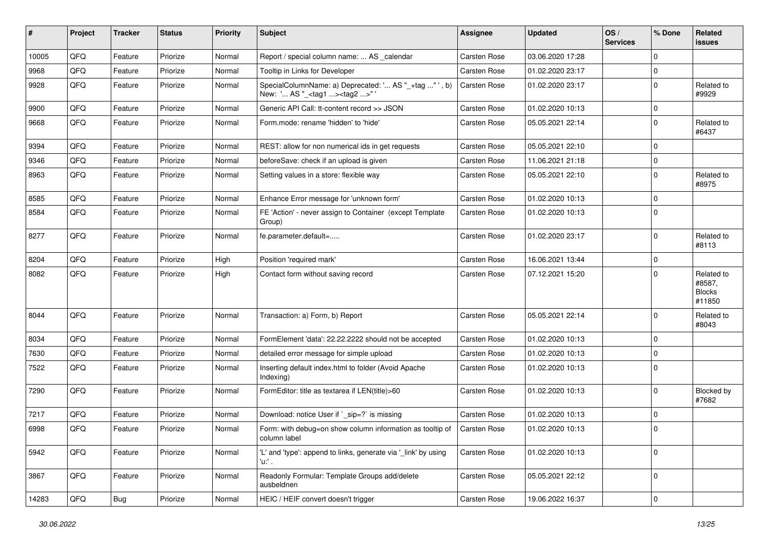| #     | <b>Project</b> | <b>Tracker</b> | <b>Status</b> | <b>Priority</b> | <b>Subject</b>                                                                                     | <b>Assignee</b>     | <b>Updated</b>   | OS/<br><b>Services</b> | % Done      | Related<br>issues                               |
|-------|----------------|----------------|---------------|-----------------|----------------------------------------------------------------------------------------------------|---------------------|------------------|------------------------|-------------|-------------------------------------------------|
| 10005 | QFQ            | Feature        | Priorize      | Normal          | Report / special column name:  AS _calendar                                                        | <b>Carsten Rose</b> | 03.06.2020 17:28 |                        | $\mathbf 0$ |                                                 |
| 9968  | QFQ            | Feature        | Priorize      | Normal          | Tooltip in Links for Developer                                                                     | Carsten Rose        | 01.02.2020 23:17 |                        | $\pmb{0}$   |                                                 |
| 9928  | QFQ            | Feature        | Priorize      | Normal          | SpecialColumnName: a) Deprecated: ' AS "_+tag "', b)<br>New: ' AS "_ <tag1><tag2>" '</tag2></tag1> | <b>Carsten Rose</b> | 01.02.2020 23:17 |                        | $\mathbf 0$ | Related to<br>#9929                             |
| 9900  | QFQ            | Feature        | Priorize      | Normal          | Generic API Call: tt-content record >> JSON                                                        | <b>Carsten Rose</b> | 01.02.2020 10:13 |                        | 0           |                                                 |
| 9668  | QFQ            | Feature        | Priorize      | Normal          | Form.mode: rename 'hidden' to 'hide'                                                               | Carsten Rose        | 05.05.2021 22:14 |                        | $\mathbf 0$ | Related to<br>#6437                             |
| 9394  | QFQ            | Feature        | Priorize      | Normal          | REST: allow for non numerical ids in get requests                                                  | <b>Carsten Rose</b> | 05.05.2021 22:10 |                        | 0           |                                                 |
| 9346  | QFQ            | Feature        | Priorize      | Normal          | beforeSave: check if an upload is given                                                            | Carsten Rose        | 11.06.2021 21:18 |                        | $\mathbf 0$ |                                                 |
| 8963  | QFQ            | Feature        | Priorize      | Normal          | Setting values in a store: flexible way                                                            | Carsten Rose        | 05.05.2021 22:10 |                        | $\mathbf 0$ | Related to<br>#8975                             |
| 8585  | QFQ            | Feature        | Priorize      | Normal          | Enhance Error message for 'unknown form'                                                           | Carsten Rose        | 01.02.2020 10:13 |                        | $\mathbf 0$ |                                                 |
| 8584  | QFQ            | Feature        | Priorize      | Normal          | FE 'Action' - never assign to Container (except Template<br>Group)                                 | Carsten Rose        | 01.02.2020 10:13 |                        | $\mathbf 0$ |                                                 |
| 8277  | QFQ            | Feature        | Priorize      | Normal          | fe.parameter.default=                                                                              | Carsten Rose        | 01.02.2020 23:17 |                        | $\mathbf 0$ | Related to<br>#8113                             |
| 8204  | QFQ            | Feature        | Priorize      | High            | Position 'required mark'                                                                           | <b>Carsten Rose</b> | 16.06.2021 13:44 |                        | $\mathbf 0$ |                                                 |
| 8082  | QFQ            | Feature        | Priorize      | High            | Contact form without saving record                                                                 | Carsten Rose        | 07.12.2021 15:20 |                        | $\mathbf 0$ | Related to<br>#8587,<br><b>Blocks</b><br>#11850 |
| 8044  | QFQ            | Feature        | Priorize      | Normal          | Transaction: a) Form, b) Report                                                                    | <b>Carsten Rose</b> | 05.05.2021 22:14 |                        | $\mathbf 0$ | Related to<br>#8043                             |
| 8034  | QFQ            | Feature        | Priorize      | Normal          | FormElement 'data': 22.22.2222 should not be accepted                                              | Carsten Rose        | 01.02.2020 10:13 |                        | 0           |                                                 |
| 7630  | QFQ            | Feature        | Priorize      | Normal          | detailed error message for simple upload                                                           | Carsten Rose        | 01.02.2020 10:13 |                        | $\pmb{0}$   |                                                 |
| 7522  | QFQ            | Feature        | Priorize      | Normal          | Inserting default index.html to folder (Avoid Apache<br>Indexing)                                  | Carsten Rose        | 01.02.2020 10:13 |                        | $\mathbf 0$ |                                                 |
| 7290  | QFQ            | Feature        | Priorize      | Normal          | FormEditor: title as textarea if LEN(title)>60                                                     | <b>Carsten Rose</b> | 01.02.2020 10:13 |                        | $\mathbf 0$ | Blocked by<br>#7682                             |
| 7217  | QFQ            | Feature        | Priorize      | Normal          | Download: notice User if `_sip=?` is missing                                                       | <b>Carsten Rose</b> | 01.02.2020 10:13 |                        | $\pmb{0}$   |                                                 |
| 6998  | QFQ            | Feature        | Priorize      | Normal          | Form: with debug=on show column information as tooltip of<br>column label                          | Carsten Rose        | 01.02.2020 10:13 |                        | $\mathbf 0$ |                                                 |
| 5942  | QFQ            | Feature        | Priorize      | Normal          | 'L' and 'type': append to links, generate via '_link' by using<br>'u:' .                           | Carsten Rose        | 01.02.2020 10:13 |                        | $\mathbf 0$ |                                                 |
| 3867  | QFQ            | Feature        | Priorize      | Normal          | Readonly Formular: Template Groups add/delete<br>ausbeldnen                                        | Carsten Rose        | 05.05.2021 22:12 |                        | $\mathbf 0$ |                                                 |
| 14283 | QFQ            | <b>Bug</b>     | Priorize      | Normal          | HEIC / HEIF convert doesn't trigger                                                                | Carsten Rose        | 19.06.2022 16:37 |                        | $\pmb{0}$   |                                                 |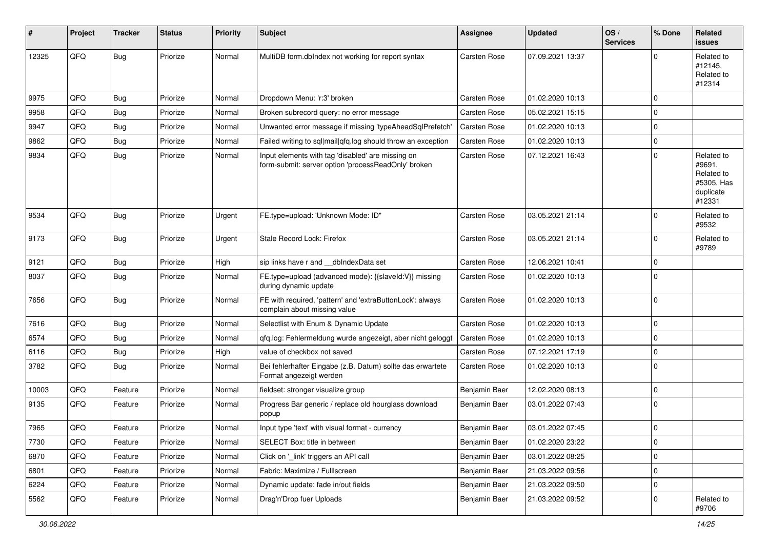| ∦     | Project | <b>Tracker</b> | <b>Status</b> | <b>Priority</b> | Subject                                                                                                  | <b>Assignee</b>     | <b>Updated</b>   | OS/<br><b>Services</b> | % Done      | Related<br><b>issues</b>                                                |
|-------|---------|----------------|---------------|-----------------|----------------------------------------------------------------------------------------------------------|---------------------|------------------|------------------------|-------------|-------------------------------------------------------------------------|
| 12325 | QFQ     | <b>Bug</b>     | Priorize      | Normal          | MultiDB form.dblndex not working for report syntax                                                       | <b>Carsten Rose</b> | 07.09.2021 13:37 |                        | $\Omega$    | Related to<br>#12145,<br>Related to<br>#12314                           |
| 9975  | QFQ     | <b>Bug</b>     | Priorize      | Normal          | Dropdown Menu: 'r:3' broken                                                                              | Carsten Rose        | 01.02.2020 10:13 |                        | 0           |                                                                         |
| 9958  | QFQ     | <b>Bug</b>     | Priorize      | Normal          | Broken subrecord query: no error message                                                                 | Carsten Rose        | 05.02.2021 15:15 |                        | $\mathbf 0$ |                                                                         |
| 9947  | QFQ     | <b>Bug</b>     | Priorize      | Normal          | Unwanted error message if missing 'typeAheadSqlPrefetch'                                                 | <b>Carsten Rose</b> | 01.02.2020 10:13 |                        | 0           |                                                                         |
| 9862  | QFQ     | <b>Bug</b>     | Priorize      | Normal          | Failed writing to sql mail qfq.log should throw an exception                                             | <b>Carsten Rose</b> | 01.02.2020 10:13 |                        | 0           |                                                                         |
| 9834  | QFQ     | <b>Bug</b>     | Priorize      | Normal          | Input elements with tag 'disabled' are missing on<br>form-submit: server option 'processReadOnly' broken | Carsten Rose        | 07.12.2021 16:43 |                        | 0           | Related to<br>#9691,<br>Related to<br>#5305, Has<br>duplicate<br>#12331 |
| 9534  | QFQ     | Bug            | Priorize      | Urgent          | FE.type=upload: 'Unknown Mode: ID"                                                                       | Carsten Rose        | 03.05.2021 21:14 |                        | 0           | Related to<br>#9532                                                     |
| 9173  | QFQ     | <b>Bug</b>     | Priorize      | Urgent          | Stale Record Lock: Firefox                                                                               | <b>Carsten Rose</b> | 03.05.2021 21:14 |                        | 0           | Related to<br>#9789                                                     |
| 9121  | QFQ     | <b>Bug</b>     | Priorize      | High            | sip links have r and __dbIndexData set                                                                   | <b>Carsten Rose</b> | 12.06.2021 10:41 |                        | 0           |                                                                         |
| 8037  | QFQ     | <b>Bug</b>     | Priorize      | Normal          | FE.type=upload (advanced mode): {{slaveId:V}} missing<br>during dynamic update                           | <b>Carsten Rose</b> | 01.02.2020 10:13 |                        | $\Omega$    |                                                                         |
| 7656  | QFQ     | <b>Bug</b>     | Priorize      | Normal          | FE with required, 'pattern' and 'extraButtonLock': always<br>complain about missing value                | <b>Carsten Rose</b> | 01.02.2020 10:13 |                        | $\Omega$    |                                                                         |
| 7616  | QFQ     | <b>Bug</b>     | Priorize      | Normal          | Selectlist with Enum & Dynamic Update                                                                    | Carsten Rose        | 01.02.2020 10:13 |                        | 0           |                                                                         |
| 6574  | QFQ     | <b>Bug</b>     | Priorize      | Normal          | qfq.log: Fehlermeldung wurde angezeigt, aber nicht geloggt                                               | Carsten Rose        | 01.02.2020 10:13 |                        | 0           |                                                                         |
| 6116  | QFQ     | <b>Bug</b>     | Priorize      | High            | value of checkbox not saved                                                                              | <b>Carsten Rose</b> | 07.12.2021 17:19 |                        | $\mathbf 0$ |                                                                         |
| 3782  | QFQ     | <b>Bug</b>     | Priorize      | Normal          | Bei fehlerhafter Eingabe (z.B. Datum) sollte das erwartete<br>Format angezeigt werden                    | Carsten Rose        | 01.02.2020 10:13 |                        | 0           |                                                                         |
| 10003 | QFQ     | Feature        | Priorize      | Normal          | fieldset: stronger visualize group                                                                       | Benjamin Baer       | 12.02.2020 08:13 |                        | 0           |                                                                         |
| 9135  | QFQ     | Feature        | Priorize      | Normal          | Progress Bar generic / replace old hourglass download<br>popup                                           | Benjamin Baer       | 03.01.2022 07:43 |                        | $\Omega$    |                                                                         |
| 7965  | QFQ     | Feature        | Priorize      | Normal          | Input type 'text' with visual format - currency                                                          | Benjamin Baer       | 03.01.2022 07:45 |                        | 0           |                                                                         |
| 7730  | QFO     | Feature        | Priorize      | Normal          | SELECT Box: title in between                                                                             | Benjamin Baer       | 01.02.2020 23:22 |                        | 0           |                                                                         |
| 6870  | QFQ     | Feature        | Priorize      | Normal          | Click on '_link' triggers an API call                                                                    | Benjamin Baer       | 03.01.2022 08:25 |                        | 0           |                                                                         |
| 6801  | QFQ     | Feature        | Priorize      | Normal          | Fabric: Maximize / FullIscreen                                                                           | Benjamin Baer       | 21.03.2022 09:56 |                        | 0           |                                                                         |
| 6224  | QFQ     | Feature        | Priorize      | Normal          | Dynamic update: fade in/out fields                                                                       | Benjamin Baer       | 21.03.2022 09:50 |                        | 0           |                                                                         |
| 5562  | QFQ     | Feature        | Priorize      | Normal          | Drag'n'Drop fuer Uploads                                                                                 | Benjamin Baer       | 21.03.2022 09:52 |                        | 0           | Related to<br>#9706                                                     |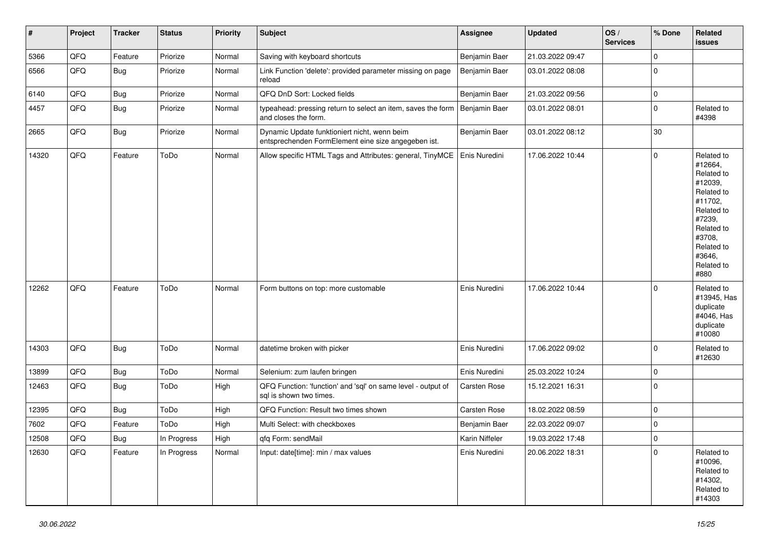| $\vert$ # | Project | <b>Tracker</b> | <b>Status</b> | <b>Priority</b> | <b>Subject</b>                                                                                       | <b>Assignee</b> | <b>Updated</b>   | OS/<br><b>Services</b> | % Done | Related<br>issues                                                                                                                                                     |
|-----------|---------|----------------|---------------|-----------------|------------------------------------------------------------------------------------------------------|-----------------|------------------|------------------------|--------|-----------------------------------------------------------------------------------------------------------------------------------------------------------------------|
| 5366      | QFQ     | Feature        | Priorize      | Normal          | Saving with keyboard shortcuts                                                                       | Benjamin Baer   | 21.03.2022 09:47 |                        | 0      |                                                                                                                                                                       |
| 6566      | QFQ     | <b>Bug</b>     | Priorize      | Normal          | Link Function 'delete': provided parameter missing on page<br>reload                                 | Benjamin Baer   | 03.01.2022 08:08 |                        | 0      |                                                                                                                                                                       |
| 6140      | QFQ     | <b>Bug</b>     | Priorize      | Normal          | QFQ DnD Sort: Locked fields                                                                          | Benjamin Baer   | 21.03.2022 09:56 |                        | 0      |                                                                                                                                                                       |
| 4457      | QFQ     | <b>Bug</b>     | Priorize      | Normal          | typeahead: pressing return to select an item, saves the form   Benjamin Baer<br>and closes the form. |                 | 03.01.2022 08:01 |                        | 0      | Related to<br>#4398                                                                                                                                                   |
| 2665      | QFQ     | <b>Bug</b>     | Priorize      | Normal          | Dynamic Update funktioniert nicht, wenn beim<br>entsprechenden FormElement eine size angegeben ist.  | Benjamin Baer   | 03.01.2022 08:12 |                        | 30     |                                                                                                                                                                       |
| 14320     | QFQ     | Feature        | ToDo          | Normal          | Allow specific HTML Tags and Attributes: general, TinyMCE   Enis Nuredini                            |                 | 17.06.2022 10:44 |                        | 0      | Related to<br>#12664,<br>Related to<br>#12039,<br>Related to<br>#11702,<br>Related to<br>#7239,<br>Related to<br>#3708,<br>Related to<br>#3646,<br>Related to<br>#880 |
| 12262     | QFQ     | Feature        | ToDo          | Normal          | Form buttons on top: more customable                                                                 | Enis Nuredini   | 17.06.2022 10:44 |                        | 0      | Related to<br>#13945, Has<br>duplicate<br>#4046, Has<br>duplicate<br>#10080                                                                                           |
| 14303     | QFQ     | <b>Bug</b>     | ToDo          | Normal          | datetime broken with picker                                                                          | Enis Nuredini   | 17.06.2022 09:02 |                        | 0      | Related to<br>#12630                                                                                                                                                  |
| 13899     | QFQ     | <b>Bug</b>     | ToDo          | Normal          | Selenium: zum laufen bringen                                                                         | Enis Nuredini   | 25.03.2022 10:24 |                        | 0      |                                                                                                                                                                       |
| 12463     | QFQ     | <b>Bug</b>     | ToDo          | High            | QFQ Function: 'function' and 'sql' on same level - output of<br>sql is shown two times.              | Carsten Rose    | 15.12.2021 16:31 |                        | 0      |                                                                                                                                                                       |
| 12395     | QFQ     | <b>Bug</b>     | ToDo          | High            | QFQ Function: Result two times shown                                                                 | Carsten Rose    | 18.02.2022 08:59 |                        | 0      |                                                                                                                                                                       |
| 7602      | QFQ     | Feature        | ToDo          | High            | Multi Select: with checkboxes                                                                        | Benjamin Baer   | 22.03.2022 09:07 |                        | 0      |                                                                                                                                                                       |
| 12508     | QFQ     | <b>Bug</b>     | In Progress   | High            | qfq Form: sendMail                                                                                   | Karin Niffeler  | 19.03.2022 17:48 |                        | 0      |                                                                                                                                                                       |
| 12630     | QFQ     | Feature        | In Progress   | Normal          | Input: date[time]: min / max values                                                                  | Enis Nuredini   | 20.06.2022 18:31 |                        | 0      | Related to<br>#10096,<br>Related to<br>#14302,<br>Related to<br>#14303                                                                                                |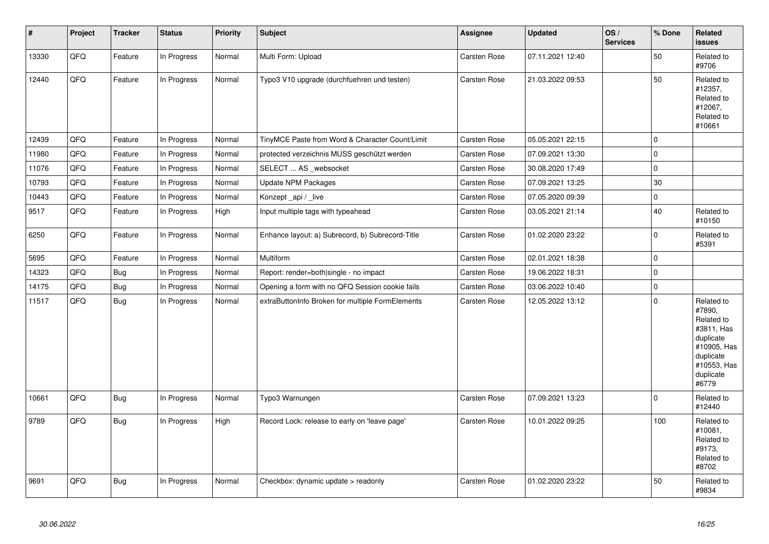| $\vert$ # | Project | <b>Tracker</b> | <b>Status</b> | <b>Priority</b> | <b>Subject</b>                                   | <b>Assignee</b>     | <b>Updated</b>   | OS/<br><b>Services</b> | % Done       | Related<br><b>issues</b>                                                                                                       |
|-----------|---------|----------------|---------------|-----------------|--------------------------------------------------|---------------------|------------------|------------------------|--------------|--------------------------------------------------------------------------------------------------------------------------------|
| 13330     | QFQ     | Feature        | In Progress   | Normal          | Multi Form: Upload                               | <b>Carsten Rose</b> | 07.11.2021 12:40 |                        | 50           | Related to<br>#9706                                                                                                            |
| 12440     | QFQ     | Feature        | In Progress   | Normal          | Typo3 V10 upgrade (durchfuehren und testen)      | <b>Carsten Rose</b> | 21.03.2022 09:53 |                        | 50           | Related to<br>#12357,<br>Related to<br>#12067,<br>Related to<br>#10661                                                         |
| 12439     | QFQ     | Feature        | In Progress   | Normal          | TinyMCE Paste from Word & Character Count/Limit  | <b>Carsten Rose</b> | 05.05.2021 22:15 |                        | $\mathbf 0$  |                                                                                                                                |
| 11980     | QFQ     | Feature        | In Progress   | Normal          | protected verzeichnis MUSS geschützt werden      | Carsten Rose        | 07.09.2021 13:30 |                        | $\pmb{0}$    |                                                                                                                                |
| 11076     | QFQ     | Feature        | In Progress   | Normal          | SELECT  AS _websocket                            | <b>Carsten Rose</b> | 30.08.2020 17:49 |                        | $\mathbf 0$  |                                                                                                                                |
| 10793     | QFQ     | Feature        | In Progress   | Normal          | Update NPM Packages                              | Carsten Rose        | 07.09.2021 13:25 |                        | 30           |                                                                                                                                |
| 10443     | QFQ     | Feature        | In Progress   | Normal          | Konzept_api / _live                              | Carsten Rose        | 07.05.2020 09:39 |                        | $\pmb{0}$    |                                                                                                                                |
| 9517      | QFQ     | Feature        | In Progress   | High            | Input multiple tags with typeahead               | <b>Carsten Rose</b> | 03.05.2021 21:14 |                        | 40           | Related to<br>#10150                                                                                                           |
| 6250      | QFQ     | Feature        | In Progress   | Normal          | Enhance layout: a) Subrecord, b) Subrecord-Title | Carsten Rose        | 01.02.2020 23:22 |                        | $\mathbf 0$  | Related to<br>#5391                                                                                                            |
| 5695      | QFQ     | Feature        | In Progress   | Normal          | Multiform                                        | Carsten Rose        | 02.01.2021 18:38 |                        | $\mathbf 0$  |                                                                                                                                |
| 14323     | QFQ     | <b>Bug</b>     | In Progress   | Normal          | Report: render=both single - no impact           | Carsten Rose        | 19.06.2022 18:31 |                        | $\pmb{0}$    |                                                                                                                                |
| 14175     | QFQ     | Bug            | In Progress   | Normal          | Opening a form with no QFQ Session cookie fails  | <b>Carsten Rose</b> | 03.06.2022 10:40 |                        | 0            |                                                                                                                                |
| 11517     | QFQ     | Bug            | In Progress   | Normal          | extraButtonInfo Broken for multiple FormElements | Carsten Rose        | 12.05.2022 13:12 |                        | $\Omega$     | Related to<br>#7890,<br>Related to<br>#3811, Has<br>duplicate<br>#10905, Has<br>duplicate<br>#10553, Has<br>duplicate<br>#6779 |
| 10661     | QFQ     | Bug            | In Progress   | Normal          | Typo3 Warnungen                                  | <b>Carsten Rose</b> | 07.09.2021 13:23 |                        | $\mathbf{0}$ | Related to<br>#12440                                                                                                           |
| 9789      | QFQ     | <b>Bug</b>     | In Progress   | High            | Record Lock: release to early on 'leave page'    | Carsten Rose        | 10.01.2022 09:25 |                        | 100          | Related to<br>#10081.<br>Related to<br>#9173,<br>Related to<br>#8702                                                           |
| 9691      | QFQ     | Bug            | In Progress   | Normal          | Checkbox: dynamic update > readonly              | <b>Carsten Rose</b> | 01.02.2020 23:22 |                        | 50           | Related to<br>#9834                                                                                                            |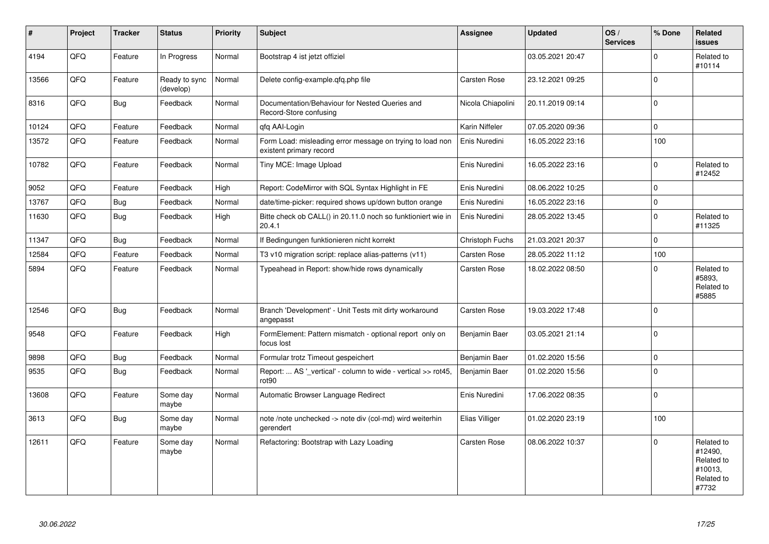| ∦     | Project | <b>Tracker</b> | <b>Status</b>              | <b>Priority</b> | <b>Subject</b>                                                                       | <b>Assignee</b>     | <b>Updated</b>   | OS/<br><b>Services</b> | % Done      | Related<br><b>issues</b>                                              |
|-------|---------|----------------|----------------------------|-----------------|--------------------------------------------------------------------------------------|---------------------|------------------|------------------------|-------------|-----------------------------------------------------------------------|
| 4194  | QFQ     | Feature        | In Progress                | Normal          | Bootstrap 4 ist jetzt offiziel                                                       |                     | 03.05.2021 20:47 |                        | $\mathbf 0$ | Related to<br>#10114                                                  |
| 13566 | QFQ     | Feature        | Ready to sync<br>(develop) | Normal          | Delete config-example.qfq.php file                                                   | Carsten Rose        | 23.12.2021 09:25 |                        | $\Omega$    |                                                                       |
| 8316  | QFQ     | <b>Bug</b>     | Feedback                   | Normal          | Documentation/Behaviour for Nested Queries and<br>Record-Store confusing             | Nicola Chiapolini   | 20.11.2019 09:14 |                        | $\mathbf 0$ |                                                                       |
| 10124 | QFQ     | Feature        | Feedback                   | Normal          | qfq AAI-Login                                                                        | Karin Niffeler      | 07.05.2020 09:36 |                        | $\mathbf 0$ |                                                                       |
| 13572 | QFO     | Feature        | Feedback                   | Normal          | Form Load: misleading error message on trying to load non<br>existent primary record | Enis Nuredini       | 16.05.2022 23:16 |                        | 100         |                                                                       |
| 10782 | QFQ     | Feature        | Feedback                   | Normal          | Tiny MCE: Image Upload                                                               | Enis Nuredini       | 16.05.2022 23:16 |                        | $\Omega$    | Related to<br>#12452                                                  |
| 9052  | QFQ     | Feature        | Feedback                   | High            | Report: CodeMirror with SQL Syntax Highlight in FE                                   | Enis Nuredini       | 08.06.2022 10:25 |                        | $\mathbf 0$ |                                                                       |
| 13767 | QFQ     | <b>Bug</b>     | Feedback                   | Normal          | date/time-picker: required shows up/down button orange                               | Enis Nuredini       | 16.05.2022 23:16 |                        | $\mathbf 0$ |                                                                       |
| 11630 | QFQ     | <b>Bug</b>     | Feedback                   | High            | Bitte check ob CALL() in 20.11.0 noch so funktioniert wie in<br>20.4.1               | Enis Nuredini       | 28.05.2022 13:45 |                        | $\mathbf 0$ | Related to<br>#11325                                                  |
| 11347 | QFQ     | <b>Bug</b>     | Feedback                   | Normal          | If Bedingungen funktionieren nicht korrekt                                           | Christoph Fuchs     | 21.03.2021 20:37 |                        | $\mathbf 0$ |                                                                       |
| 12584 | QFQ     | Feature        | Feedback                   | Normal          | T3 v10 migration script: replace alias-patterns (v11)                                | Carsten Rose        | 28.05.2022 11:12 |                        | 100         |                                                                       |
| 5894  | QFQ     | Feature        | Feedback                   | Normal          | Typeahead in Report: show/hide rows dynamically                                      | <b>Carsten Rose</b> | 18.02.2022 08:50 |                        | $\Omega$    | Related to<br>#5893,<br>Related to<br>#5885                           |
| 12546 | QFQ     | <b>Bug</b>     | Feedback                   | Normal          | Branch 'Development' - Unit Tests mit dirty workaround<br>angepasst                  | Carsten Rose        | 19.03.2022 17:48 |                        | $\Omega$    |                                                                       |
| 9548  | QFQ     | Feature        | Feedback                   | High            | FormElement: Pattern mismatch - optional report only on<br>focus lost                | Benjamin Baer       | 03.05.2021 21:14 |                        | $\mathbf 0$ |                                                                       |
| 9898  | QFQ     | <b>Bug</b>     | Feedback                   | Normal          | Formular trotz Timeout gespeichert                                                   | Benjamin Baer       | 01.02.2020 15:56 |                        | $\Omega$    |                                                                       |
| 9535  | QFQ     | <b>Bug</b>     | Feedback                   | Normal          | Report:  AS '_vertical' - column to wide - vertical >> rot45,<br>rot <sub>90</sub>   | Benjamin Baer       | 01.02.2020 15:56 |                        | $\mathbf 0$ |                                                                       |
| 13608 | QFQ     | Feature        | Some day<br>maybe          | Normal          | Automatic Browser Language Redirect                                                  | Enis Nuredini       | 17.06.2022 08:35 |                        | $\mathbf 0$ |                                                                       |
| 3613  | QFQ     | Bug            | Some day<br>maybe          | Normal          | note /note unchecked -> note div (col-md) wird weiterhin<br>gerendert                | Elias Villiger      | 01.02.2020 23:19 |                        | 100         |                                                                       |
| 12611 | QFO     | Feature        | Some day<br>maybe          | Normal          | Refactoring: Bootstrap with Lazy Loading                                             | Carsten Rose        | 08.06.2022 10:37 |                        | $\Omega$    | Related to<br>#12490,<br>Related to<br>#10013,<br>Related to<br>#7732 |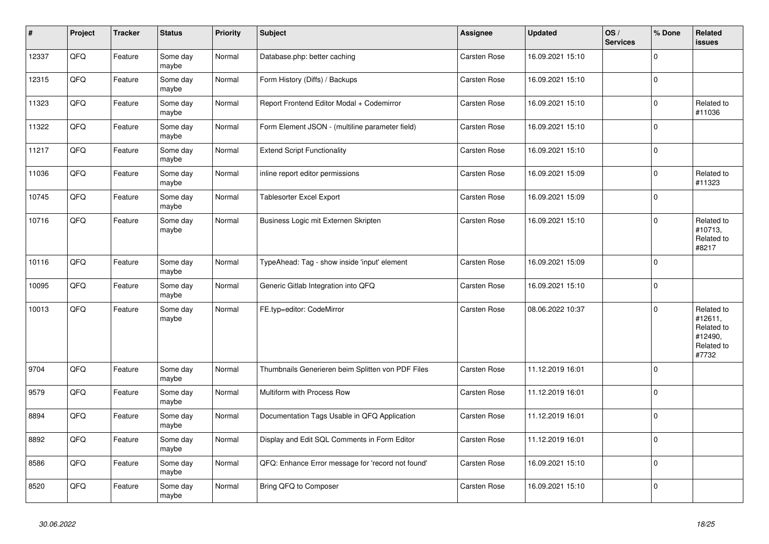| $\vert$ # | <b>Project</b> | <b>Tracker</b> | <b>Status</b>     | <b>Priority</b> | <b>Subject</b>                                    | <b>Assignee</b>     | <b>Updated</b>   | OS/<br><b>Services</b> | % Done      | Related<br>issues                                                     |
|-----------|----------------|----------------|-------------------|-----------------|---------------------------------------------------|---------------------|------------------|------------------------|-------------|-----------------------------------------------------------------------|
| 12337     | QFQ            | Feature        | Some day<br>maybe | Normal          | Database.php: better caching                      | Carsten Rose        | 16.09.2021 15:10 |                        | $\Omega$    |                                                                       |
| 12315     | QFQ            | Feature        | Some day<br>maybe | Normal          | Form History (Diffs) / Backups                    | Carsten Rose        | 16.09.2021 15:10 |                        | $\mathbf 0$ |                                                                       |
| 11323     | QFQ            | Feature        | Some day<br>maybe | Normal          | Report Frontend Editor Modal + Codemirror         | Carsten Rose        | 16.09.2021 15:10 |                        | $\Omega$    | Related to<br>#11036                                                  |
| 11322     | QFQ            | Feature        | Some day<br>maybe | Normal          | Form Element JSON - (multiline parameter field)   | Carsten Rose        | 16.09.2021 15:10 |                        | $\Omega$    |                                                                       |
| 11217     | QFQ            | Feature        | Some day<br>maybe | Normal          | <b>Extend Script Functionality</b>                | Carsten Rose        | 16.09.2021 15:10 |                        | $\Omega$    |                                                                       |
| 11036     | QFQ            | Feature        | Some day<br>maybe | Normal          | inline report editor permissions                  | Carsten Rose        | 16.09.2021 15:09 |                        | $\Omega$    | Related to<br>#11323                                                  |
| 10745     | QFQ            | Feature        | Some day<br>maybe | Normal          | <b>Tablesorter Excel Export</b>                   | <b>Carsten Rose</b> | 16.09.2021 15:09 |                        | $\Omega$    |                                                                       |
| 10716     | QFQ            | Feature        | Some day<br>maybe | Normal          | Business Logic mit Externen Skripten              | <b>Carsten Rose</b> | 16.09.2021 15:10 |                        | $\Omega$    | Related to<br>#10713.<br>Related to<br>#8217                          |
| 10116     | QFQ            | Feature        | Some day<br>maybe | Normal          | TypeAhead: Tag - show inside 'input' element      | Carsten Rose        | 16.09.2021 15:09 |                        | $\Omega$    |                                                                       |
| 10095     | QFQ            | Feature        | Some day<br>maybe | Normal          | Generic Gitlab Integration into QFQ               | <b>Carsten Rose</b> | 16.09.2021 15:10 |                        | $\Omega$    |                                                                       |
| 10013     | QFQ            | Feature        | Some day<br>maybe | Normal          | FE.typ=editor: CodeMirror                         | Carsten Rose        | 08.06.2022 10:37 |                        | $\Omega$    | Related to<br>#12611,<br>Related to<br>#12490,<br>Related to<br>#7732 |
| 9704      | QFQ            | Feature        | Some day<br>maybe | Normal          | Thumbnails Generieren beim Splitten von PDF Files | Carsten Rose        | 11.12.2019 16:01 |                        | $\Omega$    |                                                                       |
| 9579      | QFQ            | Feature        | Some day<br>maybe | Normal          | Multiform with Process Row                        | Carsten Rose        | 11.12.2019 16:01 |                        | $\pmb{0}$   |                                                                       |
| 8894      | QFQ            | Feature        | Some day<br>maybe | Normal          | Documentation Tags Usable in QFQ Application      | <b>Carsten Rose</b> | 11.12.2019 16:01 |                        | $\Omega$    |                                                                       |
| 8892      | QFQ            | Feature        | Some day<br>maybe | Normal          | Display and Edit SQL Comments in Form Editor      | <b>Carsten Rose</b> | 11.12.2019 16:01 |                        | $\Omega$    |                                                                       |
| 8586      | QFQ            | Feature        | Some day<br>maybe | Normal          | QFQ: Enhance Error message for 'record not found' | Carsten Rose        | 16.09.2021 15:10 |                        | $\Omega$    |                                                                       |
| 8520      | QFQ            | Feature        | Some day<br>maybe | Normal          | Bring QFQ to Composer                             | <b>Carsten Rose</b> | 16.09.2021 15:10 |                        | $\Omega$    |                                                                       |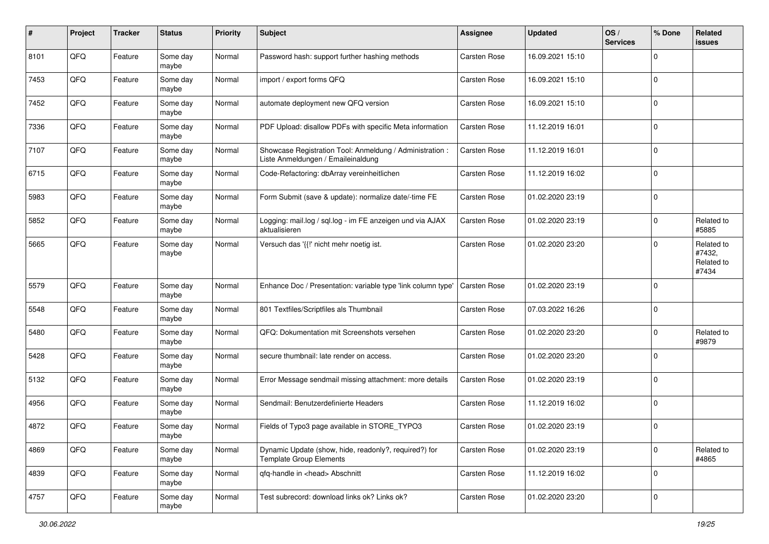| #    | Project | <b>Tracker</b> | <b>Status</b>     | <b>Priority</b> | <b>Subject</b>                                                                                 | <b>Assignee</b>     | <b>Updated</b>   | OS/<br><b>Services</b> | % Done      | Related<br><b>issues</b>                    |
|------|---------|----------------|-------------------|-----------------|------------------------------------------------------------------------------------------------|---------------------|------------------|------------------------|-------------|---------------------------------------------|
| 8101 | QFQ     | Feature        | Some day<br>maybe | Normal          | Password hash: support further hashing methods                                                 | <b>Carsten Rose</b> | 16.09.2021 15:10 |                        | $\Omega$    |                                             |
| 7453 | QFQ     | Feature        | Some day<br>maybe | Normal          | import / export forms QFQ                                                                      | <b>Carsten Rose</b> | 16.09.2021 15:10 |                        | $\mathbf 0$ |                                             |
| 7452 | QFQ     | Feature        | Some day<br>maybe | Normal          | automate deployment new QFQ version                                                            | Carsten Rose        | 16.09.2021 15:10 |                        | $\Omega$    |                                             |
| 7336 | QFQ     | Feature        | Some day<br>maybe | Normal          | PDF Upload: disallow PDFs with specific Meta information                                       | Carsten Rose        | 11.12.2019 16:01 |                        | $\Omega$    |                                             |
| 7107 | QFQ     | Feature        | Some day<br>maybe | Normal          | Showcase Registration Tool: Anmeldung / Administration :<br>Liste Anmeldungen / Emaileinaldung | Carsten Rose        | 11.12.2019 16:01 |                        | $\Omega$    |                                             |
| 6715 | QFQ     | Feature        | Some day<br>maybe | Normal          | Code-Refactoring: dbArray vereinheitlichen                                                     | Carsten Rose        | 11.12.2019 16:02 |                        | $\Omega$    |                                             |
| 5983 | QFQ     | Feature        | Some day<br>maybe | Normal          | Form Submit (save & update): normalize date/-time FE                                           | Carsten Rose        | 01.02.2020 23:19 |                        | $\Omega$    |                                             |
| 5852 | QFQ     | Feature        | Some day<br>maybe | Normal          | Logging: mail.log / sql.log - im FE anzeigen und via AJAX<br>aktualisieren                     | <b>Carsten Rose</b> | 01.02.2020 23:19 |                        | $\Omega$    | Related to<br>#5885                         |
| 5665 | QFQ     | Feature        | Some day<br>maybe | Normal          | Versuch das '{{!' nicht mehr noetig ist.                                                       | Carsten Rose        | 01.02.2020 23:20 |                        | $\Omega$    | Related to<br>#7432,<br>Related to<br>#7434 |
| 5579 | QFQ     | Feature        | Some day<br>maybe | Normal          | Enhance Doc / Presentation: variable type 'link column type'                                   | Carsten Rose        | 01.02.2020 23:19 |                        | $\Omega$    |                                             |
| 5548 | QFQ     | Feature        | Some day<br>maybe | Normal          | 801 Textfiles/Scriptfiles als Thumbnail                                                        | Carsten Rose        | 07.03.2022 16:26 |                        | $\mathbf 0$ |                                             |
| 5480 | QFQ     | Feature        | Some day<br>maybe | Normal          | QFQ: Dokumentation mit Screenshots versehen                                                    | Carsten Rose        | 01.02.2020 23:20 |                        | $\Omega$    | Related to<br>#9879                         |
| 5428 | QFQ     | Feature        | Some day<br>maybe | Normal          | secure thumbnail: late render on access.                                                       | Carsten Rose        | 01.02.2020 23:20 |                        | $\Omega$    |                                             |
| 5132 | QFQ     | Feature        | Some day<br>maybe | Normal          | Error Message sendmail missing attachment: more details                                        | Carsten Rose        | 01.02.2020 23:19 |                        | $\Omega$    |                                             |
| 4956 | QFQ     | Feature        | Some day<br>maybe | Normal          | Sendmail: Benutzerdefinierte Headers                                                           | Carsten Rose        | 11.12.2019 16:02 |                        | $\Omega$    |                                             |
| 4872 | QFQ     | Feature        | Some day<br>maybe | Normal          | Fields of Typo3 page available in STORE TYPO3                                                  | Carsten Rose        | 01.02.2020 23:19 |                        | $\Omega$    |                                             |
| 4869 | QFQ     | Feature        | Some day<br>maybe | Normal          | Dynamic Update (show, hide, readonly?, required?) for<br><b>Template Group Elements</b>        | Carsten Rose        | 01.02.2020 23:19 |                        | 0           | Related to<br>#4865                         |
| 4839 | QFQ     | Feature        | Some day<br>maybe | Normal          | qfq-handle in <head> Abschnitt</head>                                                          | Carsten Rose        | 11.12.2019 16:02 |                        | $\mathbf 0$ |                                             |
| 4757 | QFG     | Feature        | Some day<br>maybe | Normal          | Test subrecord: download links ok? Links ok?                                                   | Carsten Rose        | 01.02.2020 23:20 |                        | $\mathbf 0$ |                                             |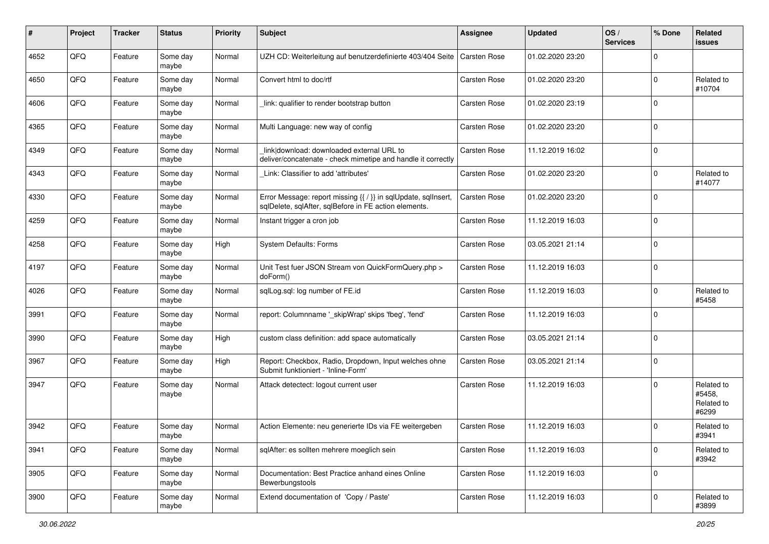| #    | Project | <b>Tracker</b> | <b>Status</b>     | <b>Priority</b> | <b>Subject</b>                                                                                                          | <b>Assignee</b>     | <b>Updated</b>   | OS/<br><b>Services</b> | % Done      | Related<br><b>issues</b>                    |
|------|---------|----------------|-------------------|-----------------|-------------------------------------------------------------------------------------------------------------------------|---------------------|------------------|------------------------|-------------|---------------------------------------------|
| 4652 | QFQ     | Feature        | Some day<br>maybe | Normal          | UZH CD: Weiterleitung auf benutzerdefinierte 403/404 Seite   Carsten Rose                                               |                     | 01.02.2020 23:20 |                        | $\Omega$    |                                             |
| 4650 | QFQ     | Feature        | Some day<br>maybe | Normal          | Convert html to doc/rtf                                                                                                 | <b>Carsten Rose</b> | 01.02.2020 23:20 |                        | $\mathbf 0$ | Related to<br>#10704                        |
| 4606 | QFQ     | Feature        | Some day<br>maybe | Normal          | link: qualifier to render bootstrap button                                                                              | Carsten Rose        | 01.02.2020 23:19 |                        | $\mathbf 0$ |                                             |
| 4365 | QFQ     | Feature        | Some day<br>maybe | Normal          | Multi Language: new way of config                                                                                       | Carsten Rose        | 01.02.2020 23:20 |                        | $\mathbf 0$ |                                             |
| 4349 | QFQ     | Feature        | Some day<br>maybe | Normal          | link download: downloaded external URL to<br>deliver/concatenate - check mimetipe and handle it correctly               | Carsten Rose        | 11.12.2019 16:02 |                        | $\mathbf 0$ |                                             |
| 4343 | QFQ     | Feature        | Some day<br>maybe | Normal          | Link: Classifier to add 'attributes'                                                                                    | Carsten Rose        | 01.02.2020 23:20 |                        | $\mathbf 0$ | Related to<br>#14077                        |
| 4330 | QFQ     | Feature        | Some day<br>maybe | Normal          | Error Message: report missing {{ / }} in sqlUpdate, sqlInsert,<br>sqlDelete, sqlAfter, sqlBefore in FE action elements. | Carsten Rose        | 01.02.2020 23:20 |                        | $\mathbf 0$ |                                             |
| 4259 | QFQ     | Feature        | Some day<br>maybe | Normal          | Instant trigger a cron job                                                                                              | Carsten Rose        | 11.12.2019 16:03 |                        | $\mathbf 0$ |                                             |
| 4258 | QFQ     | Feature        | Some day<br>maybe | High            | System Defaults: Forms                                                                                                  | Carsten Rose        | 03.05.2021 21:14 |                        | $\mathbf 0$ |                                             |
| 4197 | QFQ     | Feature        | Some day<br>maybe | Normal          | Unit Test fuer JSON Stream von QuickFormQuery.php ><br>doForm()                                                         | Carsten Rose        | 11.12.2019 16:03 |                        | $\mathbf 0$ |                                             |
| 4026 | QFQ     | Feature        | Some day<br>maybe | Normal          | salLog.sal: log number of FE.id                                                                                         | Carsten Rose        | 11.12.2019 16:03 |                        | $\mathbf 0$ | Related to<br>#5458                         |
| 3991 | QFQ     | Feature        | Some day<br>maybe | Normal          | report: Columnname '_skipWrap' skips 'fbeg', 'fend'                                                                     | Carsten Rose        | 11.12.2019 16:03 |                        | $\mathbf 0$ |                                             |
| 3990 | QFQ     | Feature        | Some day<br>maybe | High            | custom class definition: add space automatically                                                                        | <b>Carsten Rose</b> | 03.05.2021 21:14 |                        | $\mathbf 0$ |                                             |
| 3967 | QFQ     | Feature        | Some day<br>maybe | High            | Report: Checkbox, Radio, Dropdown, Input welches ohne<br>Submit funktioniert - 'Inline-Form'                            | Carsten Rose        | 03.05.2021 21:14 |                        | $\mathbf 0$ |                                             |
| 3947 | QFQ     | Feature        | Some day<br>maybe | Normal          | Attack detectect: logout current user                                                                                   | <b>Carsten Rose</b> | 11.12.2019 16:03 |                        | $\Omega$    | Related to<br>#5458.<br>Related to<br>#6299 |
| 3942 | QFQ     | Feature        | Some day<br>maybe | Normal          | Action Elemente: neu generierte IDs via FE weitergeben                                                                  | <b>Carsten Rose</b> | 11.12.2019 16:03 |                        | 0           | Related to<br>#3941                         |
| 3941 | QFQ     | Feature        | Some day<br>maybe | Normal          | sqlAfter: es sollten mehrere moeglich sein                                                                              | Carsten Rose        | 11.12.2019 16:03 |                        | $\mathbf 0$ | Related to<br>#3942                         |
| 3905 | QFQ     | Feature        | Some day<br>maybe | Normal          | Documentation: Best Practice anhand eines Online<br>Bewerbungstools                                                     | Carsten Rose        | 11.12.2019 16:03 |                        | $\mathbf 0$ |                                             |
| 3900 | QFQ     | Feature        | Some day<br>maybe | Normal          | Extend documentation of 'Copy / Paste'                                                                                  | Carsten Rose        | 11.12.2019 16:03 |                        | $\mathbf 0$ | Related to<br>#3899                         |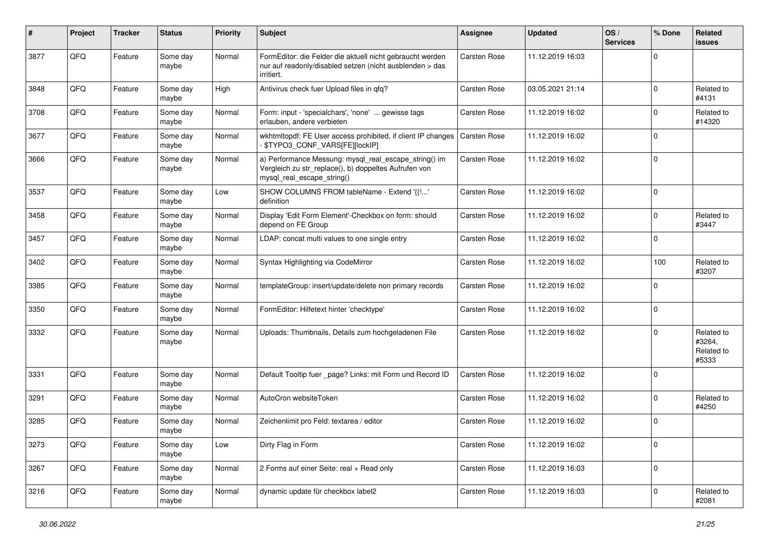| #    | Project | <b>Tracker</b> | <b>Status</b>     | <b>Priority</b> | <b>Subject</b>                                                                                                                               | Assignee            | <b>Updated</b>   | OS/<br><b>Services</b> | % Done      | Related<br>issues                           |
|------|---------|----------------|-------------------|-----------------|----------------------------------------------------------------------------------------------------------------------------------------------|---------------------|------------------|------------------------|-------------|---------------------------------------------|
| 3877 | QFQ     | Feature        | Some day<br>maybe | Normal          | FormEditor: die Felder die aktuell nicht gebraucht werden<br>nur auf readonly/disabled setzen (nicht ausblenden > das<br>irritiert.          | <b>Carsten Rose</b> | 11.12.2019 16:03 |                        | $\mathbf 0$ |                                             |
| 3848 | QFQ     | Feature        | Some day<br>maybe | High            | Antivirus check fuer Upload files in gfg?                                                                                                    | Carsten Rose        | 03.05.2021 21:14 |                        | $\mathbf 0$ | Related to<br>#4131                         |
| 3708 | QFQ     | Feature        | Some day<br>maybe | Normal          | Form: input - 'specialchars', 'none'  gewisse tags<br>erlauben, andere verbieten                                                             | Carsten Rose        | 11.12.2019 16:02 |                        | $\mathbf 0$ | Related to<br>#14320                        |
| 3677 | QFQ     | Feature        | Some day<br>maybe | Normal          | wkhtmltopdf: FE User access prohibited, if client IP changes<br>\$TYPO3_CONF_VARS[FE][lockIP]                                                | Carsten Rose        | 11.12.2019 16:02 |                        | 0           |                                             |
| 3666 | QFQ     | Feature        | Some day<br>maybe | Normal          | a) Performance Messung: mysql_real_escape_string() im<br>Vergleich zu str_replace(), b) doppeltes Aufrufen von<br>mysql_real_escape_string() | Carsten Rose        | 11.12.2019 16:02 |                        | $\mathbf 0$ |                                             |
| 3537 | QFQ     | Feature        | Some day<br>maybe | Low             | SHOW COLUMNS FROM tableName - Extend '{{!'<br>definition                                                                                     | Carsten Rose        | 11.12.2019 16:02 |                        | $\mathbf 0$ |                                             |
| 3458 | QFQ     | Feature        | Some day<br>maybe | Normal          | Display 'Edit Form Element'-Checkbox on form: should<br>depend on FE Group                                                                   | Carsten Rose        | 11.12.2019 16:02 |                        | $\mathbf 0$ | Related to<br>#3447                         |
| 3457 | QFQ     | Feature        | Some day<br>maybe | Normal          | LDAP: concat multi values to one single entry                                                                                                | Carsten Rose        | 11.12.2019 16:02 |                        | $\Omega$    |                                             |
| 3402 | QFQ     | Feature        | Some day<br>maybe | Normal          | Syntax Highlighting via CodeMirror                                                                                                           | Carsten Rose        | 11.12.2019 16:02 |                        | 100         | Related to<br>#3207                         |
| 3385 | QFQ     | Feature        | Some day<br>maybe | Normal          | templateGroup: insert/update/delete non primary records                                                                                      | Carsten Rose        | 11.12.2019 16:02 |                        | $\mathbf 0$ |                                             |
| 3350 | QFQ     | Feature        | Some day<br>maybe | Normal          | FormEditor: Hilfetext hinter 'checktype'                                                                                                     | Carsten Rose        | 11.12.2019 16:02 |                        | 0           |                                             |
| 3332 | QFQ     | Feature        | Some day<br>maybe | Normal          | Uploads: Thumbnails, Details zum hochgeladenen File                                                                                          | Carsten Rose        | 11.12.2019 16:02 |                        | $\mathbf 0$ | Related to<br>#3264,<br>Related to<br>#5333 |
| 3331 | QFQ     | Feature        | Some day<br>maybe | Normal          | Default Tooltip fuer _page? Links: mit Form und Record ID                                                                                    | Carsten Rose        | 11.12.2019 16:02 |                        | $\mathbf 0$ |                                             |
| 3291 | QFQ     | Feature        | Some day<br>maybe | Normal          | AutoCron websiteToken                                                                                                                        | Carsten Rose        | 11.12.2019 16:02 |                        | $\Omega$    | Related to<br>#4250                         |
| 3285 | QFQ     | Feature        | Some day<br>maybe | Normal          | Zeichenlimit pro Feld: textarea / editor                                                                                                     | <b>Carsten Rose</b> | 11.12.2019 16:02 |                        | $\mathbf 0$ |                                             |
| 3273 | QFO     | Feature        | Some day<br>maybe | Low             | Dirty Flag in Form                                                                                                                           | Carsten Rose        | 11.12.2019 16:02 |                        | $\mathbf 0$ |                                             |
| 3267 | QFO     | Feature        | Some day<br>maybe | Normal          | 2 Forms auf einer Seite: real + Read only                                                                                                    | Carsten Rose        | 11.12.2019 16:03 |                        | $\pmb{0}$   |                                             |
| 3216 | QFO     | Feature        | Some day<br>maybe | Normal          | dynamic update für checkbox label2                                                                                                           | Carsten Rose        | 11.12.2019 16:03 |                        | $\pmb{0}$   | Related to<br>#2081                         |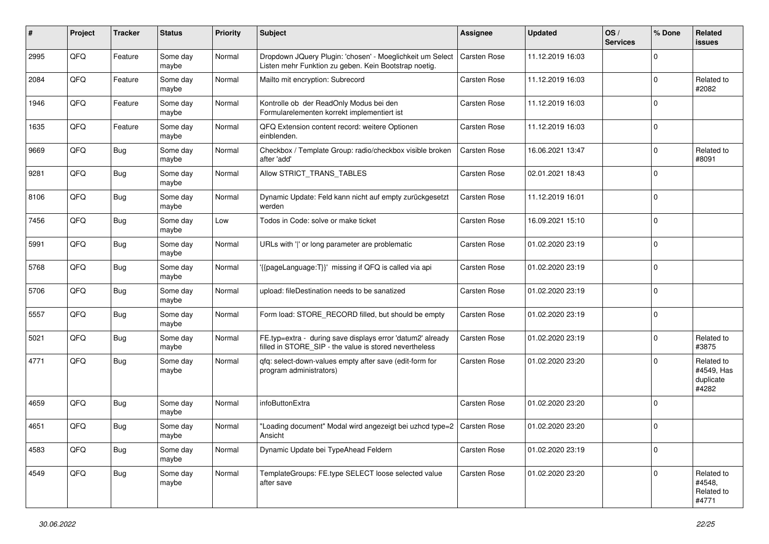| #    | Project | <b>Tracker</b> | <b>Status</b>     | <b>Priority</b> | <b>Subject</b>                                                                                                       | <b>Assignee</b>     | <b>Updated</b>   | OS/<br><b>Services</b> | % Done      | Related<br>issues                              |
|------|---------|----------------|-------------------|-----------------|----------------------------------------------------------------------------------------------------------------------|---------------------|------------------|------------------------|-------------|------------------------------------------------|
| 2995 | QFQ     | Feature        | Some day<br>maybe | Normal          | Dropdown JQuery Plugin: 'chosen' - Moeglichkeit um Select<br>Listen mehr Funktion zu geben. Kein Bootstrap noetig.   | <b>Carsten Rose</b> | 11.12.2019 16:03 |                        | 0           |                                                |
| 2084 | QFQ     | Feature        | Some day<br>maybe | Normal          | Mailto mit encryption: Subrecord                                                                                     | Carsten Rose        | 11.12.2019 16:03 |                        | $\mathbf 0$ | Related to<br>#2082                            |
| 1946 | QFQ     | Feature        | Some day<br>maybe | Normal          | Kontrolle ob der ReadOnly Modus bei den<br>Formularelementen korrekt implementiert ist                               | Carsten Rose        | 11.12.2019 16:03 |                        | $\Omega$    |                                                |
| 1635 | QFQ     | Feature        | Some day<br>maybe | Normal          | QFQ Extension content record: weitere Optionen<br>einblenden.                                                        | Carsten Rose        | 11.12.2019 16:03 |                        | 0           |                                                |
| 9669 | QFQ     | <b>Bug</b>     | Some day<br>maybe | Normal          | Checkbox / Template Group: radio/checkbox visible broken<br>after 'add'                                              | Carsten Rose        | 16.06.2021 13:47 |                        | $\pmb{0}$   | Related to<br>#8091                            |
| 9281 | QFQ     | <b>Bug</b>     | Some day<br>maybe | Normal          | Allow STRICT_TRANS_TABLES                                                                                            | Carsten Rose        | 02.01.2021 18:43 |                        | $\Omega$    |                                                |
| 8106 | QFQ     | <b>Bug</b>     | Some day<br>maybe | Normal          | Dynamic Update: Feld kann nicht auf empty zurückgesetzt<br>werden                                                    | Carsten Rose        | 11.12.2019 16:01 |                        | $\Omega$    |                                                |
| 7456 | QFQ     | <b>Bug</b>     | Some day<br>maybe | Low             | Todos in Code: solve or make ticket                                                                                  | Carsten Rose        | 16.09.2021 15:10 |                        | $\mathbf 0$ |                                                |
| 5991 | QFQ     | <b>Bug</b>     | Some day<br>maybe | Normal          | URLs with 'I' or long parameter are problematic                                                                      | Carsten Rose        | 01.02.2020 23:19 |                        | $\mathbf 0$ |                                                |
| 5768 | QFQ     | Bug            | Some day<br>maybe | Normal          | '{{pageLanguage:T}}' missing if QFQ is called via api                                                                | Carsten Rose        | 01.02.2020 23:19 |                        | $\Omega$    |                                                |
| 5706 | QFQ     | <b>Bug</b>     | Some day<br>maybe | Normal          | upload: fileDestination needs to be sanatized                                                                        | Carsten Rose        | 01.02.2020 23:19 |                        | $\Omega$    |                                                |
| 5557 | QFQ     | <b>Bug</b>     | Some day<br>maybe | Normal          | Form load: STORE_RECORD filled, but should be empty                                                                  | Carsten Rose        | 01.02.2020 23:19 |                        | $\mathbf 0$ |                                                |
| 5021 | QFQ     | <b>Bug</b>     | Some day<br>maybe | Normal          | FE.typ=extra - during save displays error 'datum2' already<br>filled in STORE_SIP - the value is stored nevertheless | Carsten Rose        | 01.02.2020 23:19 |                        | $\mathbf 0$ | Related to<br>#3875                            |
| 4771 | QFQ     | <b>Bug</b>     | Some day<br>maybe | Normal          | qfq: select-down-values empty after save (edit-form for<br>program administrators)                                   | Carsten Rose        | 01.02.2020 23:20 |                        | $\Omega$    | Related to<br>#4549, Has<br>duplicate<br>#4282 |
| 4659 | QFQ     | <b>Bug</b>     | Some day<br>maybe | Normal          | infoButtonExtra                                                                                                      | <b>Carsten Rose</b> | 01.02.2020 23:20 |                        | $\mathbf 0$ |                                                |
| 4651 | QFQ     | <b>Bug</b>     | Some day<br>maybe | Normal          | "Loading document" Modal wird angezeigt bei uzhcd type=2   Carsten Rose<br>Ansicht                                   |                     | 01.02.2020 23:20 |                        | $\mathbf 0$ |                                                |
| 4583 | QFO     | <b>Bug</b>     | Some day<br>maybe | Normal          | Dynamic Update bei TypeAhead Feldern                                                                                 | Carsten Rose        | 01.02.2020 23:19 |                        | $\mathbf 0$ |                                                |
| 4549 | QFQ     | <b>Bug</b>     | Some day<br>maybe | Normal          | TemplateGroups: FE.type SELECT loose selected value<br>after save                                                    | Carsten Rose        | 01.02.2020 23:20 |                        | $\mathbf 0$ | Related to<br>#4548,<br>Related to<br>#4771    |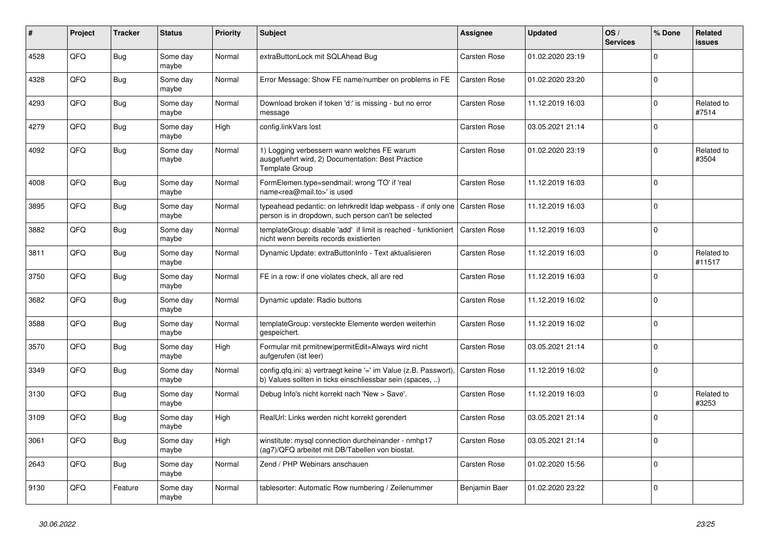| #    | Project | <b>Tracker</b> | <b>Status</b>     | <b>Priority</b> | <b>Subject</b>                                                                                                                | Assignee            | <b>Updated</b>   | OS/<br><b>Services</b> | % Done      | <b>Related</b><br><b>issues</b> |
|------|---------|----------------|-------------------|-----------------|-------------------------------------------------------------------------------------------------------------------------------|---------------------|------------------|------------------------|-------------|---------------------------------|
| 4528 | QFQ     | <b>Bug</b>     | Some day<br>maybe | Normal          | extraButtonLock mit SQLAhead Bug                                                                                              | <b>Carsten Rose</b> | 01.02.2020 23:19 |                        | $\Omega$    |                                 |
| 4328 | QFQ     | Bug            | Some dav<br>maybe | Normal          | Error Message: Show FE name/number on problems in FE                                                                          | Carsten Rose        | 01.02.2020 23:20 |                        | $\mathbf 0$ |                                 |
| 4293 | QFQ     | <b>Bug</b>     | Some day<br>maybe | Normal          | Download broken if token 'd:' is missing - but no error<br>message                                                            | Carsten Rose        | 11.12.2019 16:03 |                        | $\Omega$    | Related to<br>#7514             |
| 4279 | QFQ     | <b>Bug</b>     | Some day<br>maybe | High            | config.linkVars lost                                                                                                          | <b>Carsten Rose</b> | 03.05.2021 21:14 |                        | $\mathbf 0$ |                                 |
| 4092 | QFQ     | Bug            | Some day<br>maybe | Normal          | 1) Logging verbessern wann welches FE warum<br>ausgefuehrt wird, 2) Documentation: Best Practice<br><b>Template Group</b>     | Carsten Rose        | 01.02.2020 23:19 |                        | $\Omega$    | Related to<br>#3504             |
| 4008 | QFQ     | <b>Bug</b>     | Some day<br>maybe | Normal          | FormElemen.type=sendmail: wrong 'TO' if 'real<br>name <rea@mail.to>' is used</rea@mail.to>                                    | Carsten Rose        | 11.12.2019 16:03 |                        | $\Omega$    |                                 |
| 3895 | QFQ     | <b>Bug</b>     | Some day<br>maybe | Normal          | typeahead pedantic: on lehrkredit Idap webpass - if only one<br>person is in dropdown, such person can't be selected          | <b>Carsten Rose</b> | 11.12.2019 16:03 |                        | $\Omega$    |                                 |
| 3882 | QFQ     | <b>Bug</b>     | Some day<br>maybe | Normal          | templateGroup: disable 'add' if limit is reached - funktioniert<br>nicht wenn bereits records existierten                     | Carsten Rose        | 11.12.2019 16:03 |                        | $\mathbf 0$ |                                 |
| 3811 | QFQ     | <b>Bug</b>     | Some day<br>maybe | Normal          | Dynamic Update: extraButtonInfo - Text aktualisieren                                                                          | Carsten Rose        | 11.12.2019 16:03 |                        | $\Omega$    | Related to<br>#11517            |
| 3750 | QFQ     | <b>Bug</b>     | Some day<br>maybe | Normal          | FE in a row: if one violates check, all are red                                                                               | <b>Carsten Rose</b> | 11.12.2019 16:03 |                        | $\mathbf 0$ |                                 |
| 3682 | QFQ     | <b>Bug</b>     | Some day<br>maybe | Normal          | Dynamic update: Radio buttons                                                                                                 | <b>Carsten Rose</b> | 11.12.2019 16:02 |                        | $\Omega$    |                                 |
| 3588 | QFQ     | <b>Bug</b>     | Some day<br>maybe | Normal          | templateGroup: versteckte Elemente werden weiterhin<br>gespeichert.                                                           | Carsten Rose        | 11.12.2019 16:02 |                        | $\mathbf 0$ |                                 |
| 3570 | QFQ     | <b>Bug</b>     | Some day<br>maybe | High            | Formular mit prmitnew permitEdit=Always wird nicht<br>aufgerufen (ist leer)                                                   | Carsten Rose        | 03.05.2021 21:14 |                        | $\Omega$    |                                 |
| 3349 | QFQ     | Bug            | Some day<br>maybe | Normal          | config.qfq.ini: a) vertraegt keine '=' im Value (z.B. Passwort),<br>b) Values sollten in ticks einschliessbar sein (spaces, ) | Carsten Rose        | 11.12.2019 16:02 |                        | $\Omega$    |                                 |
| 3130 | QFQ     | <b>Bug</b>     | Some day<br>maybe | Normal          | Debug Info's nicht korrekt nach 'New > Save'.                                                                                 | Carsten Rose        | 11.12.2019 16:03 |                        | $\Omega$    | Related to<br>#3253             |
| 3109 | QFQ     | <b>Bug</b>     | Some day<br>maybe | High            | RealUrl: Links werden nicht korrekt gerendert                                                                                 | Carsten Rose        | 03.05.2021 21:14 |                        | $\mathbf 0$ |                                 |
| 3061 | QFQ     | <b>Bug</b>     | Some day<br>maybe | High            | winstitute: mysql connection durcheinander - nmhp17<br>(ag7)/QFQ arbeitet mit DB/Tabellen von biostat.                        | Carsten Rose        | 03.05.2021 21:14 |                        | $\mathbf 0$ |                                 |
| 2643 | QFQ     | <b>Bug</b>     | Some day<br>maybe | Normal          | Zend / PHP Webinars anschauen                                                                                                 | <b>Carsten Rose</b> | 01.02.2020 15:56 |                        | $\Omega$    |                                 |
| 9130 | QFQ     | Feature        | Some day<br>maybe | Normal          | tablesorter: Automatic Row numbering / Zeilenummer                                                                            | Benjamin Baer       | 01.02.2020 23:22 |                        | $\mathbf 0$ |                                 |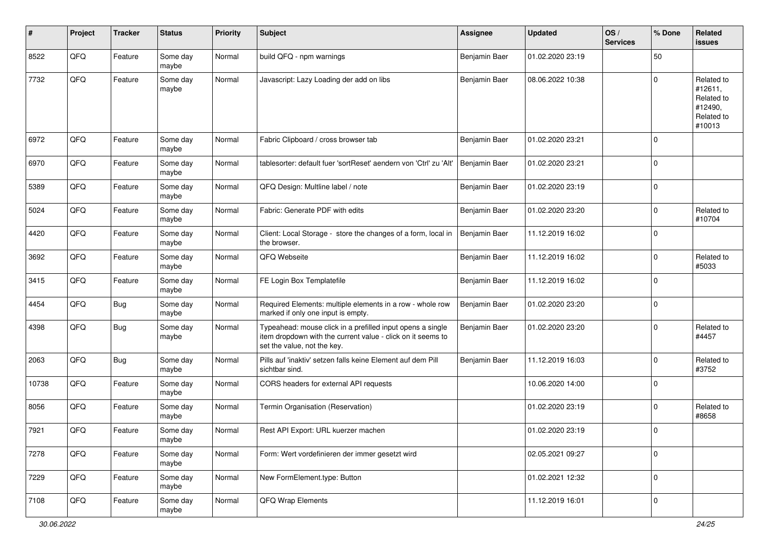| #     | Project | <b>Tracker</b> | <b>Status</b>     | <b>Priority</b> | <b>Subject</b>                                                                                                                                           | <b>Assignee</b> | <b>Updated</b>   | OS/<br><b>Services</b> | % Done      | Related<br>issues                                                      |
|-------|---------|----------------|-------------------|-----------------|----------------------------------------------------------------------------------------------------------------------------------------------------------|-----------------|------------------|------------------------|-------------|------------------------------------------------------------------------|
| 8522  | QFQ     | Feature        | Some day<br>maybe | Normal          | build QFQ - npm warnings                                                                                                                                 | Benjamin Baer   | 01.02.2020 23:19 |                        | 50          |                                                                        |
| 7732  | QFQ     | Feature        | Some day<br>maybe | Normal          | Javascript: Lazy Loading der add on libs                                                                                                                 | Benjamin Baer   | 08.06.2022 10:38 |                        | $\Omega$    | Related to<br>#12611,<br>Related to<br>#12490,<br>Related to<br>#10013 |
| 6972  | QFQ     | Feature        | Some day<br>maybe | Normal          | Fabric Clipboard / cross browser tab                                                                                                                     | Benjamin Baer   | 01.02.2020 23:21 |                        | $\mathbf 0$ |                                                                        |
| 6970  | QFQ     | Feature        | Some day<br>maybe | Normal          | tablesorter: default fuer 'sortReset' aendern von 'Ctrl' zu 'Alt'                                                                                        | Benjamin Baer   | 01.02.2020 23:21 |                        | $\mathbf 0$ |                                                                        |
| 5389  | QFQ     | Feature        | Some day<br>maybe | Normal          | QFQ Design: Multline label / note                                                                                                                        | Benjamin Baer   | 01.02.2020 23:19 |                        | $\mathbf 0$ |                                                                        |
| 5024  | QFQ     | Feature        | Some day<br>maybe | Normal          | Fabric: Generate PDF with edits                                                                                                                          | Benjamin Baer   | 01.02.2020 23:20 |                        | $\mathbf 0$ | Related to<br>#10704                                                   |
| 4420  | QFQ     | Feature        | Some day<br>maybe | Normal          | Client: Local Storage - store the changes of a form, local in<br>the browser.                                                                            | Benjamin Baer   | 11.12.2019 16:02 |                        | $\mathbf 0$ |                                                                        |
| 3692  | QFQ     | Feature        | Some day<br>maybe | Normal          | QFQ Webseite                                                                                                                                             | Benjamin Baer   | 11.12.2019 16:02 |                        | $\mathbf 0$ | Related to<br>#5033                                                    |
| 3415  | QFQ     | Feature        | Some day<br>maybe | Normal          | FE Login Box Templatefile                                                                                                                                | Benjamin Baer   | 11.12.2019 16:02 |                        | $\mathbf 0$ |                                                                        |
| 4454  | QFQ     | <b>Bug</b>     | Some day<br>maybe | Normal          | Required Elements: multiple elements in a row - whole row<br>marked if only one input is empty.                                                          | Benjamin Baer   | 01.02.2020 23:20 |                        | $\mathbf 0$ |                                                                        |
| 4398  | QFQ     | <b>Bug</b>     | Some day<br>maybe | Normal          | Typeahead: mouse click in a prefilled input opens a single<br>item dropdown with the current value - click on it seems to<br>set the value, not the key. | Benjamin Baer   | 01.02.2020 23:20 |                        | $\mathbf 0$ | Related to<br>#4457                                                    |
| 2063  | QFQ     | <b>Bug</b>     | Some day<br>maybe | Normal          | Pills auf 'inaktiv' setzen falls keine Element auf dem Pill<br>sichtbar sind.                                                                            | Benjamin Baer   | 11.12.2019 16:03 |                        | $\mathbf 0$ | Related to<br>#3752                                                    |
| 10738 | QFQ     | Feature        | Some day<br>maybe | Normal          | CORS headers for external API requests                                                                                                                   |                 | 10.06.2020 14:00 |                        | $\pmb{0}$   |                                                                        |
| 8056  | QFQ     | Feature        | Some day<br>maybe | Normal          | Termin Organisation (Reservation)                                                                                                                        |                 | 01.02.2020 23:19 |                        | $\mathbf 0$ | Related to<br>#8658                                                    |
| 7921  | QFQ     | Feature        | Some day<br>maybe | Normal          | Rest API Export: URL kuerzer machen                                                                                                                      |                 | 01.02.2020 23:19 |                        | $\mathbf 0$ |                                                                        |
| 7278  | QFO     | Feature        | Some day<br>maybe | Normal          | Form: Wert vordefinieren der immer gesetzt wird                                                                                                          |                 | 02.05.2021 09:27 |                        | $\mathbf 0$ |                                                                        |
| 7229  | QFG     | Feature        | Some day<br>maybe | Normal          | New FormElement.type: Button                                                                                                                             |                 | 01.02.2021 12:32 |                        | $\mathbf 0$ |                                                                        |
| 7108  | QFO     | Feature        | Some day<br>maybe | Normal          | QFQ Wrap Elements                                                                                                                                        |                 | 11.12.2019 16:01 |                        | $\mathbf 0$ |                                                                        |